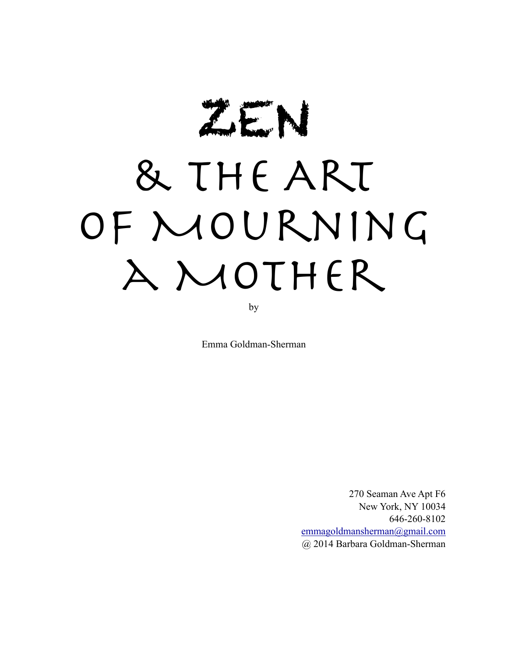ZEN

# & the Art OF MOURNING a Mother

by

Emma Goldman-Sherman

270 Seaman Ave Apt F6 New York, NY 10034 646-260-8102 [emmagoldmansherman@gmail.com](mailto:emmagoldmansherman@gmail.com) @ 2014 Barbara Goldman-Sherman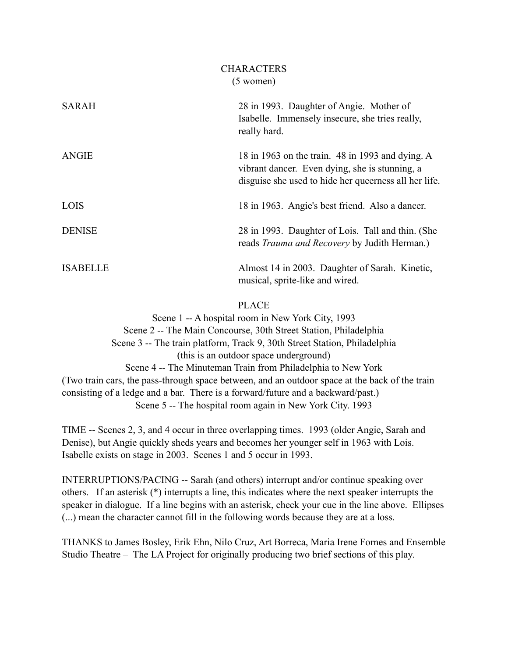| <b>SARAH</b>    | 28 in 1993. Daughter of Angie. Mother of<br>Isabelle. Immensely insecure, she tries really,<br>really hard.                                                 |
|-----------------|-------------------------------------------------------------------------------------------------------------------------------------------------------------|
| <b>ANGIE</b>    | 18 in 1963 on the train. 48 in 1993 and dying. A<br>vibrant dancer. Even dying, she is stunning, a<br>disguise she used to hide her queerness all her life. |
| <b>LOIS</b>     | 18 in 1963. Angie's best friend. Also a dancer.                                                                                                             |
| <b>DENISE</b>   | 28 in 1993. Daughter of Lois. Tall and thin. (She<br>reads Trauma and Recovery by Judith Herman.)                                                           |
| <b>ISABELLE</b> | Almost 14 in 2003. Daughter of Sarah. Kinetic,<br>musical, sprite-like and wired.                                                                           |

# PLACE

Scene 1 -- A hospital room in New York City, 1993 Scene 2 -- The Main Concourse, 30th Street Station, Philadelphia Scene 3 -- The train platform, Track 9, 30th Street Station, Philadelphia (this is an outdoor space underground) Scene 4 -- The Minuteman Train from Philadelphia to New York (Two train cars, the pass-through space between, and an outdoor space at the back of the train consisting of a ledge and a bar. There is a forward/future and a backward/past.) Scene 5 -- The hospital room again in New York City. 1993

TIME -- Scenes 2, 3, and 4 occur in three overlapping times. 1993 (older Angie, Sarah and Denise), but Angie quickly sheds years and becomes her younger self in 1963 with Lois. Isabelle exists on stage in 2003. Scenes 1 and 5 occur in 1993.

INTERRUPTIONS/PACING -- Sarah (and others) interrupt and/or continue speaking over others. If an asterisk (\*) interrupts a line, this indicates where the next speaker interrupts the speaker in dialogue. If a line begins with an asterisk, check your cue in the line above. Ellipses (...) mean the character cannot fill in the following words because they are at a loss.

THANKS to James Bosley, Erik Ehn, Nilo Cruz, Art Borreca, Maria Irene Fornes and Ensemble Studio Theatre – The LA Project for originally producing two brief sections of this play.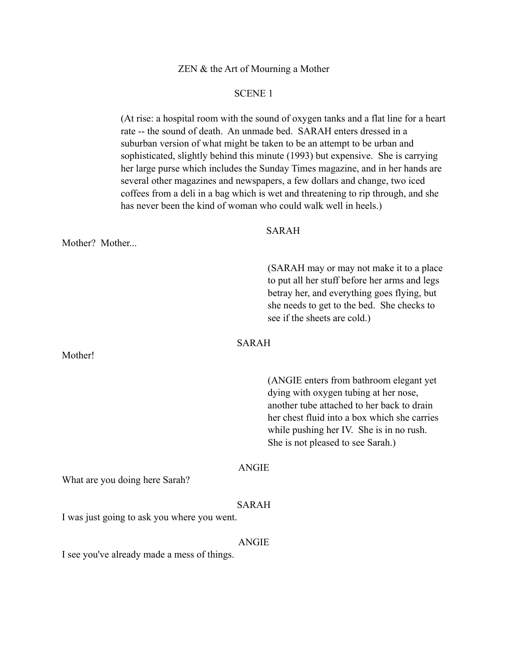ZEN & the Art of Mourning a Mother

#### SCENE 1

 (At rise: a hospital room with the sound of oxygen tanks and a flat line for a heart rate -- the sound of death. An unmade bed. SARAH enters dressed in a suburban version of what might be taken to be an attempt to be urban and sophisticated, slightly behind this minute (1993) but expensive. She is carrying her large purse which includes the Sunday Times magazine, and in her hands are several other magazines and newspapers, a few dollars and change, two iced coffees from a deli in a bag which is wet and threatening to rip through, and she has never been the kind of woman who could walk well in heels.)

#### SARAH

Mother? Mother...

Mother!

 (SARAH may or may not make it to a place to put all her stuff before her arms and legs betray her, and everything goes flying, but she needs to get to the bed. She checks to see if the sheets are cold.)

# SARAH

 (ANGIE enters from bathroom elegant yet dying with oxygen tubing at her nose, another tube attached to her back to drain her chest fluid into a box which she carries while pushing her IV. She is in no rush. She is not pleased to see Sarah.)

#### ANGIE

What are you doing here Sarah?

#### SARAH

I was just going to ask you where you went.

#### ANGIE

I see you've already made a mess of things.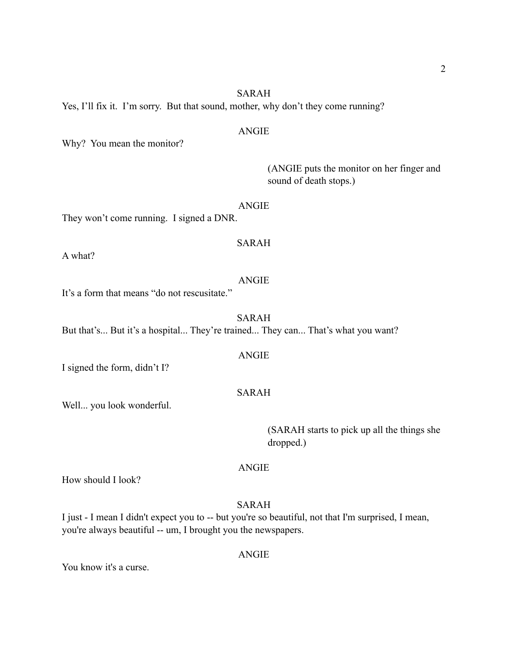# SARAH

Yes, I'll fix it. I'm sorry. But that sound, mother, why don't they come running?

## ANGIE

Why? You mean the monitor?

 (ANGIE puts the monitor on her finger and sound of death stops.)

ANGIE

They won't come running. I signed a DNR.

# SARAH

A what?

#### ANGIE

It's a form that means "do not rescusitate."

SARAH

But that's... But it's a hospital... They're trained... They can... That's what you want?

#### ANGIE

I signed the form, didn't I?

# SARAH

Well... you look wonderful.

 (SARAH starts to pick up all the things she dropped.)

#### ANGIE

How should I look?

SARAH

I just - I mean I didn't expect you to -- but you're so beautiful, not that I'm surprised, I mean, you're always beautiful -- um, I brought you the newspapers.

You know it's a curse.

#### ANGIE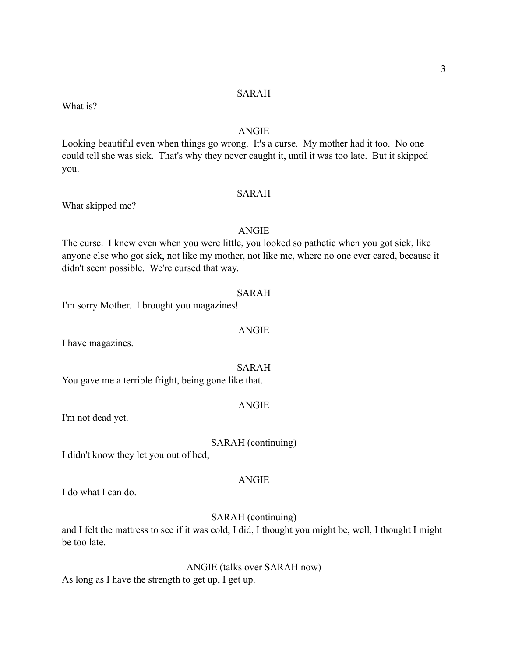#### SARAH

#### ANGIE

Looking beautiful even when things go wrong. It's a curse. My mother had it too. No one could tell she was sick. That's why they never caught it, until it was too late. But it skipped you.

# SARAH

#### ANGIE

The curse. I knew even when you were little, you looked so pathetic when you got sick, like anyone else who got sick, not like my mother, not like me, where no one ever cared, because it didn't seem possible. We're cursed that way.

#### SARAH

I'm sorry Mother. I brought you magazines!

ANGIE

I have magazines.

What skipped me?

What is?

You gave me a terrible fright, being gone like that.

#### ANGIE

SARAH

I'm not dead yet.

#### SARAH (continuing)

I didn't know they let you out of bed,

## ANGIE

I do what I can do.

# SARAH (continuing)

and I felt the mattress to see if it was cold, I did, I thought you might be, well, I thought I might be too late.

ANGIE (talks over SARAH now) As long as I have the strength to get up, I get up.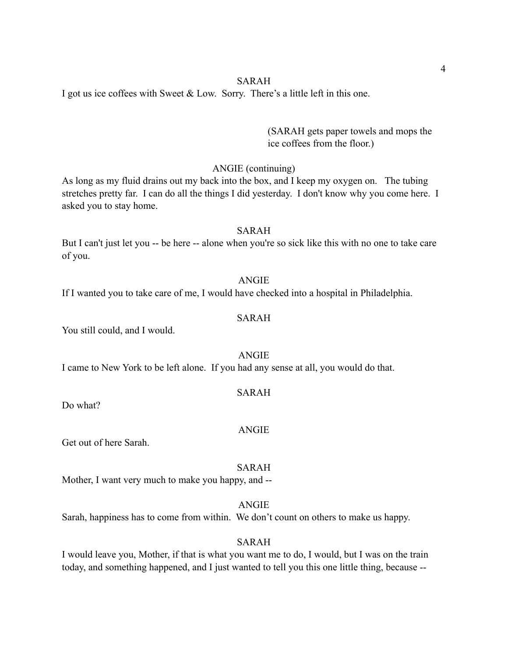I got us ice coffees with Sweet & Low. Sorry. There's a little left in this one.

 (SARAH gets paper towels and mops the ice coffees from the floor.)

#### ANGIE (continuing)

As long as my fluid drains out my back into the box, and I keep my oxygen on. The tubing stretches pretty far. I can do all the things I did yesterday. I don't know why you come here. I asked you to stay home.

#### SARAH

But I can't just let you -- be here -- alone when you're so sick like this with no one to take care of you.

#### ANGIE

If I wanted you to take care of me, I would have checked into a hospital in Philadelphia.

# SARAH

You still could, and I would.

ANGIE I came to New York to be left alone. If you had any sense at all, you would do that.

#### SARAH

Do what?

#### ANGIE

Get out of here Sarah.

#### SARAH

Mother, I want very much to make you happy, and --

ANGIE

Sarah, happiness has to come from within. We don't count on others to make us happy.

#### SARAH

I would leave you, Mother, if that is what you want me to do, I would, but I was on the train today, and something happened, and I just wanted to tell you this one little thing, because --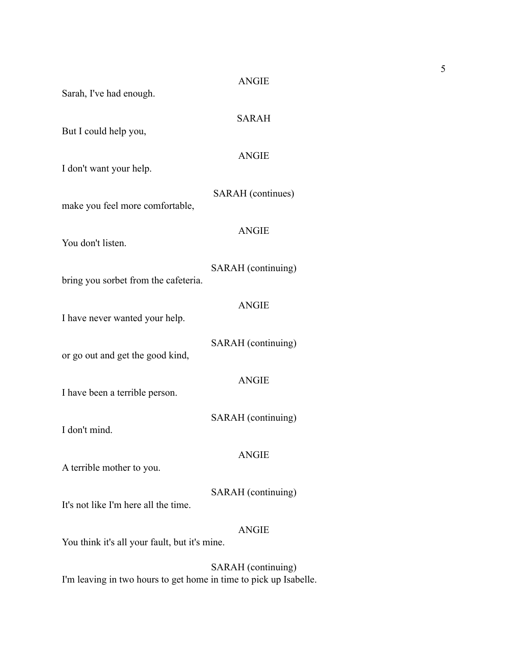| Sarah, I've had enough.                                       | <b>ANGIE</b>       |
|---------------------------------------------------------------|--------------------|
| But I could help you,                                         | <b>SARAH</b>       |
| I don't want your help.                                       | <b>ANGIE</b>       |
| make you feel more comfortable,                               | SARAH (continues)  |
| You don't listen.                                             | <b>ANGIE</b>       |
|                                                               | SARAH (continuing) |
| bring you sorbet from the cafeteria.                          | <b>ANGIE</b>       |
| I have never wanted your help.                                | SARAH (continuing) |
| or go out and get the good kind,                              | <b>ANGIE</b>       |
| I have been a terrible person.                                | SARAH (continuing) |
| I don't mind.                                                 | <b>ANGIE</b>       |
| A terrible mother to you.                                     |                    |
| It's not like I'm here all the time.                          | SARAH (continuing) |
| <b>ANGIE</b><br>You think it's all your fault, but it's mine. |                    |

SARAH (continuing) I'm leaving in two hours to get home in time to pick up Isabelle.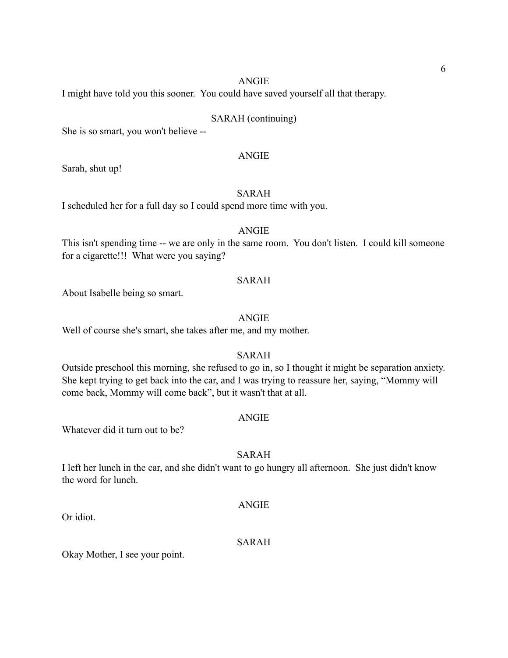I might have told you this sooner. You could have saved yourself all that therapy.

#### SARAH (continuing)

She is so smart, you won't believe --

#### ANGIE

Sarah, shut up!

# SARAH

I scheduled her for a full day so I could spend more time with you.

#### ANGIE

This isn't spending time -- we are only in the same room. You don't listen. I could kill someone for a cigarette!!! What were you saying?

# SARAH

About Isabelle being so smart.

#### ANGIE

Well of course she's smart, she takes after me, and my mother.

#### SARAH

Outside preschool this morning, she refused to go in, so I thought it might be separation anxiety. She kept trying to get back into the car, and I was trying to reassure her, saying, "Mommy will come back, Mommy will come back", but it wasn't that at all.

#### ANGIE

Whatever did it turn out to be?

#### SARAH

I left her lunch in the car, and she didn't want to go hungry all afternoon. She just didn't know the word for lunch.

#### **ANGIE**

Or idiot.

#### SARAH

Okay Mother, I see your point.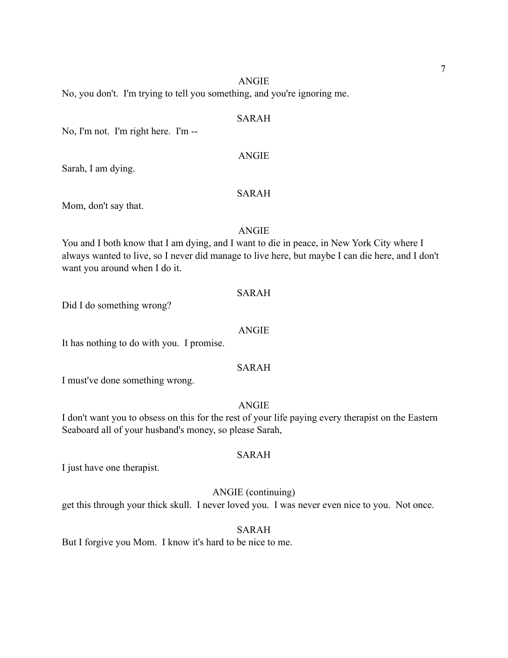No, you don't. I'm trying to tell you something, and you're ignoring me.

#### SARAH

No, I'm not. I'm right here. I'm --

Sarah, I am dying.

#### SARAH

ANGIE

Mom, don't say that.

#### ANGIE

You and I both know that I am dying, and I want to die in peace, in New York City where I always wanted to live, so I never did manage to live here, but maybe I can die here, and I don't want you around when I do it.

#### SARAH

Did I do something wrong?

#### ANGIE

It has nothing to do with you. I promise.

#### SARAH

I must've done something wrong.

#### ANGIE

I don't want you to obsess on this for the rest of your life paying every therapist on the Eastern Seaboard all of your husband's money, so please Sarah,

#### SARAH

I just have one therapist.

#### ANGIE (continuing)

get this through your thick skull. I never loved you. I was never even nice to you. Not once.

#### SARAH

But I forgive you Mom. I know it's hard to be nice to me.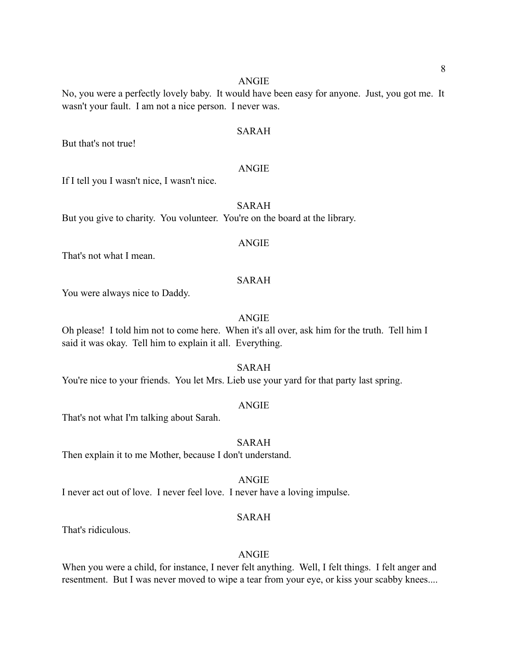No, you were a perfectly lovely baby. It would have been easy for anyone. Just, you got me. It wasn't your fault. I am not a nice person. I never was.

#### SARAH

But that's not true!

#### ANGIE

If I tell you I wasn't nice, I wasn't nice.

# SARAH

But you give to charity. You volunteer. You're on the board at the library.

#### ANGIE

That's not what I mean.

# SARAH

You were always nice to Daddy.

#### ANGIE

Oh please! I told him not to come here. When it's all over, ask him for the truth. Tell him I said it was okay. Tell him to explain it all. Everything.

SARAH

You're nice to your friends. You let Mrs. Lieb use your yard for that party last spring.

#### ANGIE

That's not what I'm talking about Sarah.

#### SARAH

Then explain it to me Mother, because I don't understand.

ANGIE

I never act out of love. I never feel love. I never have a loving impulse.

#### SARAH

That's ridiculous.

# ANGIE

When you were a child, for instance, I never felt anything. Well, I felt things. I felt anger and resentment. But I was never moved to wipe a tear from your eye, or kiss your scabby knees....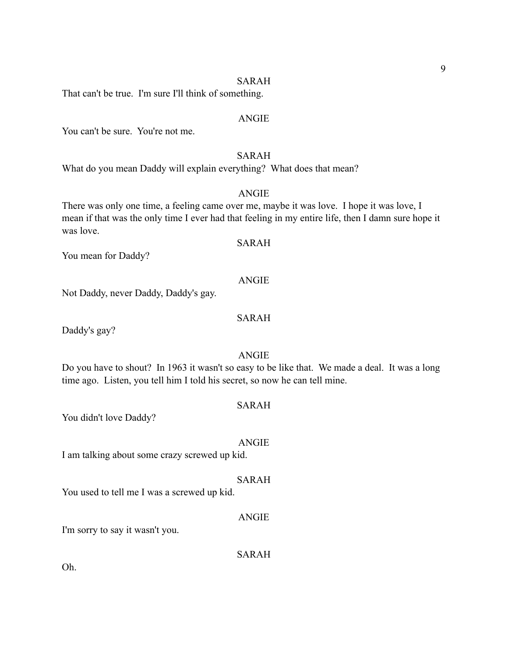#### SARAH

That can't be true. I'm sure I'll think of something.

#### ANGIE

You can't be sure. You're not me.

# SARAH

What do you mean Daddy will explain everything? What does that mean?

## ANGIE

There was only one time, a feeling came over me, maybe it was love. I hope it was love, I mean if that was the only time I ever had that feeling in my entire life, then I damn sure hope it was love.

#### SARAH

You mean for Daddy?

#### ANGIE

Not Daddy, never Daddy, Daddy's gay.

# SARAH

Daddy's gay?

# ANGIE

Do you have to shout? In 1963 it wasn't so easy to be like that. We made a deal. It was a long time ago. Listen, you tell him I told his secret, so now he can tell mine.

#### SARAH

You didn't love Daddy?

#### ANGIE

SARAH

I am talking about some crazy screwed up kid.

# You used to tell me I was a screwed up kid.

#### ANGIE

I'm sorry to say it wasn't you.

SARAH

Oh.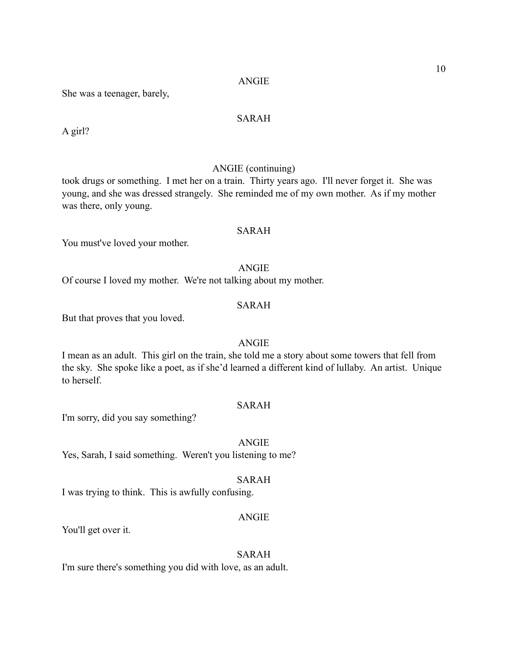She was a teenager, barely,

# SARAH

A girl?

# ANGIE (continuing)

took drugs or something. I met her on a train. Thirty years ago. I'll never forget it. She was young, and she was dressed strangely. She reminded me of my own mother. As if my mother was there, only young.

# SARAH

You must've loved your mother.

#### ANGIE

Of course I loved my mother. We're not talking about my mother.

#### SARAH

But that proves that you loved.

# ANGIE

I mean as an adult. This girl on the train, she told me a story about some towers that fell from the sky. She spoke like a poet, as if she'd learned a different kind of lullaby. An artist. Unique to herself.

# SARAH

I'm sorry, did you say something?

ANGIE Yes, Sarah, I said something. Weren't you listening to me?

# SARAH

I was trying to think. This is awfully confusing.

#### ANGIE

You'll get over it.

# SARAH

I'm sure there's something you did with love, as an adult.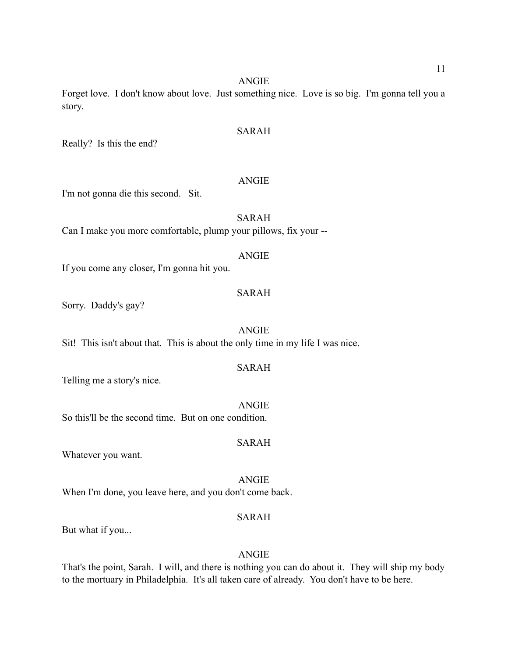Forget love. I don't know about love. Just something nice. Love is so big. I'm gonna tell you a story.

# SARAH

Really? Is this the end?

## ANGIE

I'm not gonna die this second. Sit.

# SARAH

Can I make you more comfortable, plump your pillows, fix your --

#### ANGIE

If you come any closer, I'm gonna hit you.

# SARAH

Sorry. Daddy's gay?

#### ANGIE

Sit! This isn't about that. This is about the only time in my life I was nice.

## SARAH

Telling me a story's nice.

#### ANGIE So this'll be the second time. But on one condition.

# SARAH

Whatever you want.

ANGIE When I'm done, you leave here, and you don't come back.

#### SARAH

But what if you...

# ANGIE

That's the point, Sarah. I will, and there is nothing you can do about it. They will ship my body to the mortuary in Philadelphia. It's all taken care of already. You don't have to be here.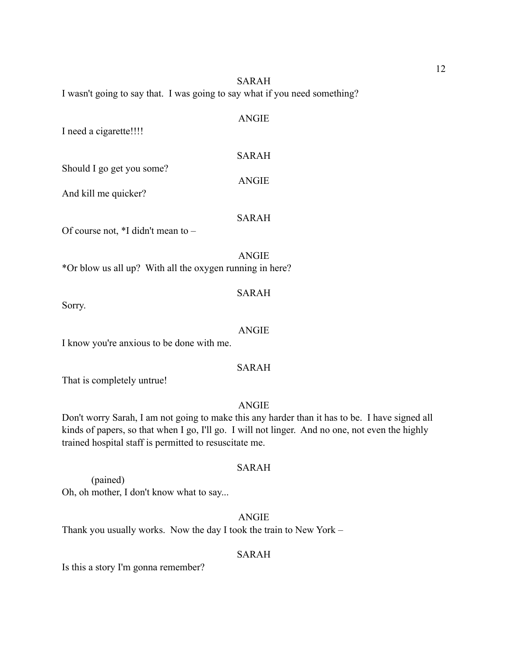SARAH I wasn't going to say that. I was going to say what if you need something?

| AIVU112      |
|--------------|
| <b>SARAH</b> |
| ANGIE        |
|              |

SARAH

ANGIE

Of course not, \*I didn't mean to –

\*Or blow us all up? With all the oxygen running in here?

# Sorry.

#### ANGIE

ANGIE

SARAH

I know you're anxious to be done with me.

## SARAH

That is completely untrue!

# ANGIE

Don't worry Sarah, I am not going to make this any harder than it has to be. I have signed all kinds of papers, so that when I go, I'll go. I will not linger. And no one, not even the highly trained hospital staff is permitted to resuscitate me.

#### SARAH

 (pained) Oh, oh mother, I don't know what to say...

# ANGIE

Thank you usually works. Now the day I took the train to New York –

# SARAH

Is this a story I'm gonna remember?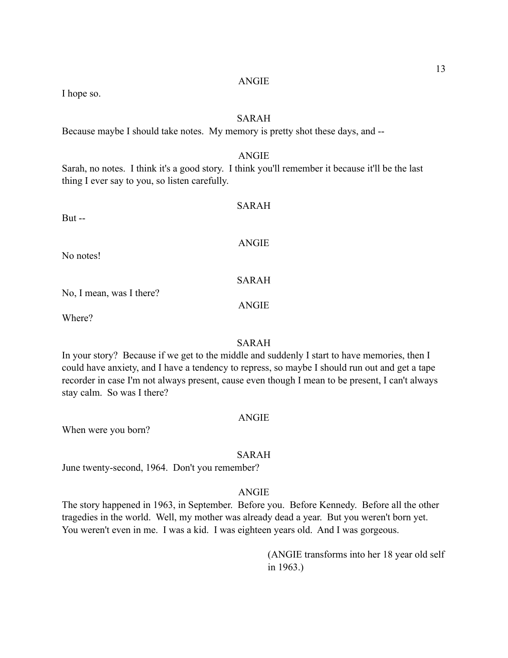| Sarah, no notes. I think it's a good story. I think you'll remember it be<br>thing I ever say to you, so listen carefully. | ANGIE        |
|----------------------------------------------------------------------------------------------------------------------------|--------------|
| But $-$                                                                                                                    | SARAH        |
| No notes!                                                                                                                  | <b>ANGIE</b> |
|                                                                                                                            | <b>SARAH</b> |
| No, I mean, was I there?<br>Where?                                                                                         | <b>ANGIE</b> |

# SARAH

In your story? Because if we get to the middle and suddenly I start to have memories, then I could have anxiety, and I have a tendency to repress, so maybe I should run out and get a tape recorder in case I'm not always present, cause even though I mean to be present, I can't always stay calm. So was I there?

# ANGIE

When were you born?

I hope so.

# SARAH

June twenty-second, 1964. Don't you remember?

# ANGIE

The story happened in 1963, in September. Before you. Before Kennedy. Before all the other tragedies in the world. Well, my mother was already dead a year. But you weren't born yet. You weren't even in me. I was a kid. I was eighteen years old. And I was gorgeous.

> (ANGIE transforms into her 18 year old self in 1963.)

SARAH

13

ecause it'll be the last

Because maybe I should take notes. My memory is pretty shot these days, and --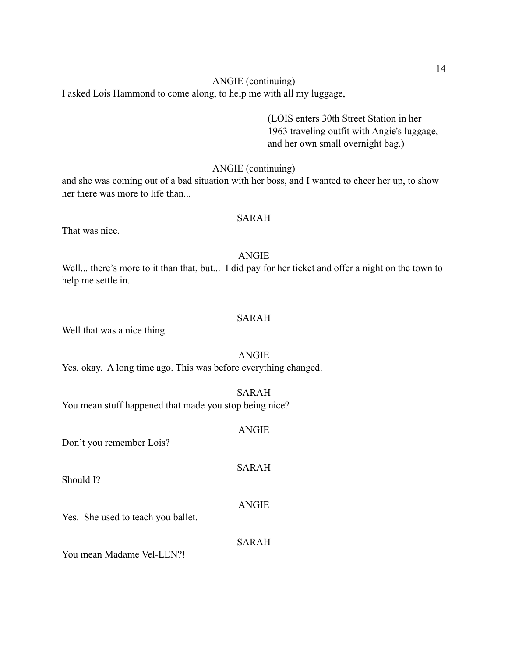I asked Lois Hammond to come along, to help me with all my luggage,

 (LOIS enters 30th Street Station in her 1963 traveling outfit with Angie's luggage, and her own small overnight bag.)

# ANGIE (continuing)

and she was coming out of a bad situation with her boss, and I wanted to cheer her up, to show her there was more to life than...

#### SARAH

That was nice.

# ANGIE

Well... there's more to it than that, but... I did pay for her ticket and offer a night on the town to help me settle in.

# SARAH

Well that was a nice thing.

#### ANGIE

Yes, okay. A long time ago. This was before everything changed.

# SARAH

You mean stuff happened that made you stop being nice?

## ANGIE

SARAH

SARAH

Don't you remember Lois?

Should I?

Yes. She used to teach you ballet.

You mean Madame Vel-LEN?!

ANGIE

14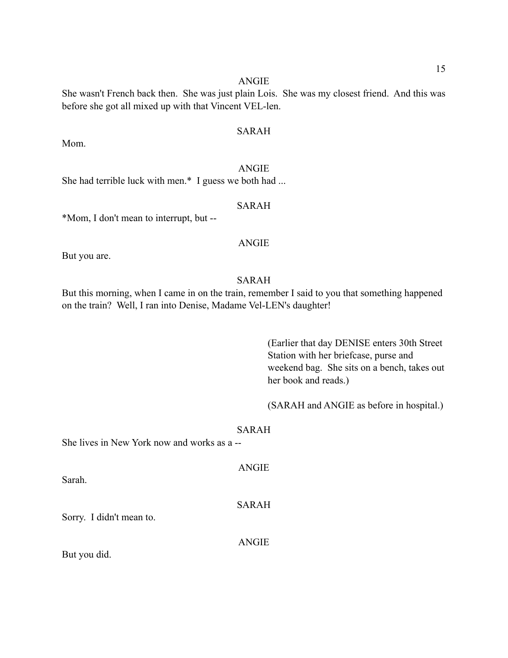She wasn't French back then. She was just plain Lois. She was my closest friend. And this was before she got all mixed up with that Vincent VEL-len.

# SARAH

Mom.

ANGIE She had terrible luck with men.\* I guess we both had ...

# SARAH

\*Mom, I don't mean to interrupt, but --

#### ANGIE

But you are.

# SARAH

But this morning, when I came in on the train, remember I said to you that something happened on the train? Well, I ran into Denise, Madame Vel-LEN's daughter!

> (Earlier that day DENISE enters 30th Street Station with her briefcase, purse and weekend bag. She sits on a bench, takes out her book and reads.)

> (SARAH and ANGIE as before in hospital.)

#### SARAH

She lives in New York now and works as a --

ANGIE Sarah. SARAH Sorry. I didn't mean to. ANGIE

But you did.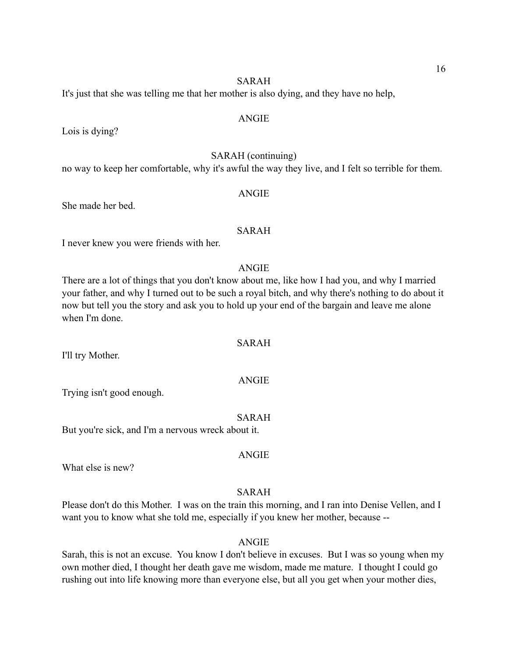#### SARAH

It's just that she was telling me that her mother is also dying, and they have no help,

#### ANGIE

Lois is dying?

# SARAH (continuing)

no way to keep her comfortable, why it's awful the way they live, and I felt so terrible for them.

ANGIE

She made her bed.

#### SARAH

I never knew you were friends with her.

#### ANGIE

There are a lot of things that you don't know about me, like how I had you, and why I married your father, and why I turned out to be such a royal bitch, and why there's nothing to do about it now but tell you the story and ask you to hold up your end of the bargain and leave me alone when I'm done.

#### SARAH

I'll try Mother.

Trying isn't good enough.

#### SARAH

But you're sick, and I'm a nervous wreck about it.

What else is new?

#### SARAH

ANGIE

Please don't do this Mother. I was on the train this morning, and I ran into Denise Vellen, and I want you to know what she told me, especially if you knew her mother, because --

#### ANGIE

Sarah, this is not an excuse. You know I don't believe in excuses. But I was so young when my own mother died, I thought her death gave me wisdom, made me mature. I thought I could go rushing out into life knowing more than everyone else, but all you get when your mother dies,

ANGIE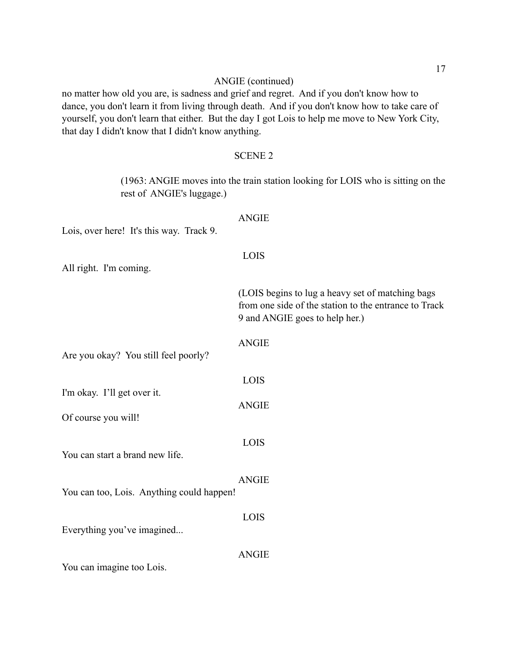# ANGIE (continued)

no matter how old you are, is sadness and grief and regret. And if you don't know how to dance, you don't learn it from living through death. And if you don't know how to take care of yourself, you don't learn that either. But the day I got Lois to help me move to New York City, that day I didn't know that I didn't know anything.

# SCENE 2

 (1963: ANGIE moves into the train station looking for LOIS who is sitting on the rest of ANGIE's luggage.)

| Lois, over here! It's this way. Track 9.           | <b>ANGIE</b>                                                                                                                                |
|----------------------------------------------------|---------------------------------------------------------------------------------------------------------------------------------------------|
| All right. I'm coming.                             | LOIS                                                                                                                                        |
|                                                    | (LOIS begins to lug a heavy set of matching bags<br>from one side of the station to the entrance to Track<br>9 and ANGIE goes to help her.) |
| Are you okay? You still feel poorly?               | <b>ANGIE</b>                                                                                                                                |
| I'm okay. I'll get over it.<br>Of course you will! | LOIS<br><b>ANGIE</b>                                                                                                                        |
| You can start a brand new life.                    | LOIS                                                                                                                                        |
| You can too, Lois. Anything could happen!          | <b>ANGIE</b>                                                                                                                                |
| Everything you've imagined                         | LOIS                                                                                                                                        |
|                                                    | <b>ANGIE</b>                                                                                                                                |

You can imagine too Lois.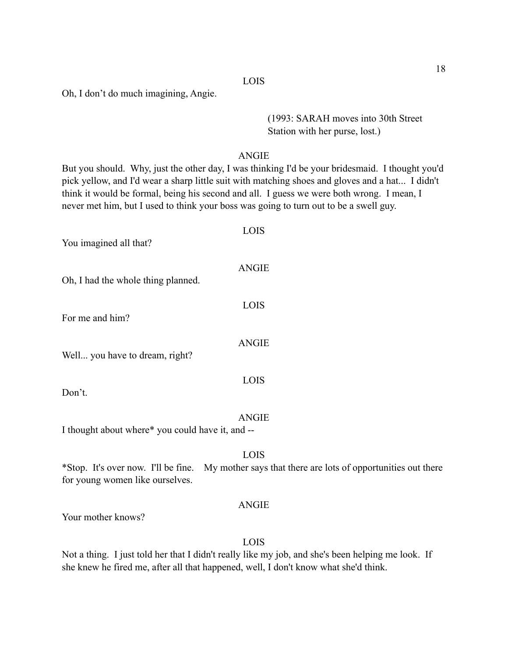Oh, I don't do much imagining, Angie.

# (1993: SARAH moves into 30th Street Station with her purse, lost.)

# ANGIE

But you should. Why, just the other day, I was thinking I'd be your bridesmaid. I thought you'd pick yellow, and I'd wear a sharp little suit with matching shoes and gloves and a hat... I didn't think it would be formal, being his second and all. I guess we were both wrong. I mean, I never met him, but I used to think your boss was going to turn out to be a swell guy.

| You imagined all that?                           | LOIS         |
|--------------------------------------------------|--------------|
| Oh, I had the whole thing planned.               | <b>ANGIE</b> |
| For me and him?                                  | LOIS         |
| Well you have to dream, right?                   | <b>ANGIE</b> |
| Don't.                                           | <b>LOIS</b>  |
| I thought about where* you could have it, and -- | <b>ANGIE</b> |

# LOIS

\*Stop. It's over now. I'll be fine. My mother says that there are lots of opportunities out there for young women like ourselves.

#### ANGIE

Your mother knows?

#### LOIS

Not a thing. I just told her that I didn't really like my job, and she's been helping me look. If she knew he fired me, after all that happened, well, I don't know what she'd think.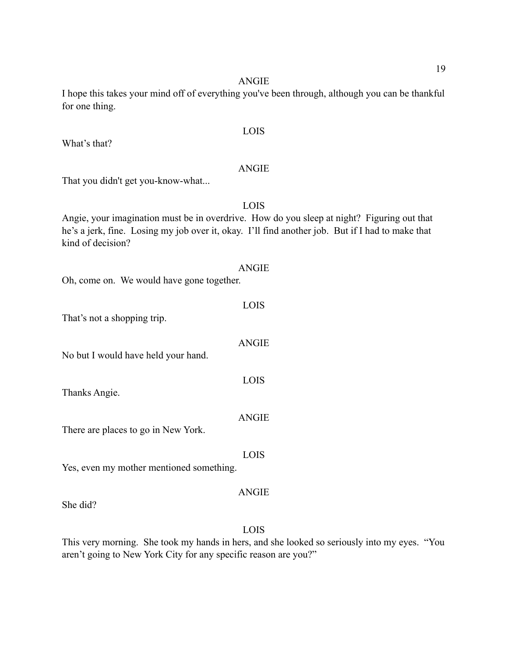I hope this takes your mind off of everything you've been through, although you can be thankful for one thing.

#### LOIS

What's that?

#### ANGIE

That you didn't get you-know-what...

LOIS

Angie, your imagination must be in overdrive. How do you sleep at night? Figuring out that he's a jerk, fine. Losing my job over it, okay. I'll find another job. But if I had to make that kind of decision?

#### ANGIE

Oh, come on. We would have gone together.

|                                     | <b>LOIS</b> |
|-------------------------------------|-------------|
| That's not a shopping trip.         |             |
|                                     | ANGIE       |
| No but I would have held your hand. |             |

Thanks Angie.

ANGIE

LOIS

There are places to go in New York.

LOIS

Yes, even my mother mentioned something.

#### ANGIE

She did?

#### LOIS

This very morning. She took my hands in hers, and she looked so seriously into my eyes. "You aren't going to New York City for any specific reason are you?"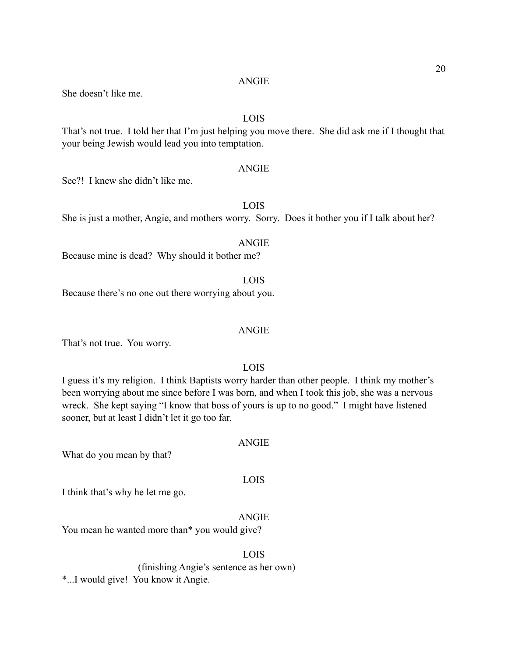She doesn't like me.

# LOIS

That's not true. I told her that I'm just helping you move there. She did ask me if I thought that your being Jewish would lead you into temptation.

#### ANGIE

See?! I knew she didn't like me.

# LOIS

She is just a mother, Angie, and mothers worry. Sorry. Does it bother you if I talk about her?

## ANGIE

Because mine is dead? Why should it bother me?

#### LOIS

Because there's no one out there worrying about you.

#### ANGIE

That's not true. You worry.

# LOIS

I guess it's my religion. I think Baptists worry harder than other people. I think my mother's been worrying about me since before I was born, and when I took this job, she was a nervous wreck. She kept saying "I know that boss of yours is up to no good." I might have listened sooner, but at least I didn't let it go too far.

What do you mean by that?

#### LOIS

ANGIE

I think that's why he let me go.

# ANGIE

You mean he wanted more than\* you would give?

# LOIS

 (finishing Angie's sentence as her own) \*...I would give! You know it Angie.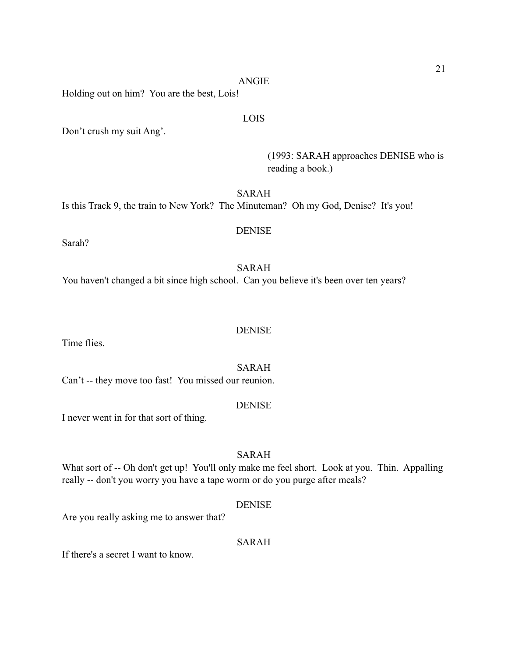Holding out on him? You are the best, Lois!

## LOIS

Don't crush my suit Ang'.

 (1993: SARAH approaches DENISE who is reading a book.)

SARAH

Is this Track 9, the train to New York? The Minuteman? Oh my God, Denise? It's you!

# DENISE

Sarah?

SARAH You haven't changed a bit since high school. Can you believe it's been over ten years?

Time flies.

SARAH

**DENISE** 

Can't -- they move too fast! You missed our reunion.

# **DENISE**

I never went in for that sort of thing.

# SARAH

What sort of -- Oh don't get up! You'll only make me feel short. Look at you. Thin. Appalling really -- don't you worry you have a tape worm or do you purge after meals?

#### DENISE

Are you really asking me to answer that?

#### SARAH

If there's a secret I want to know.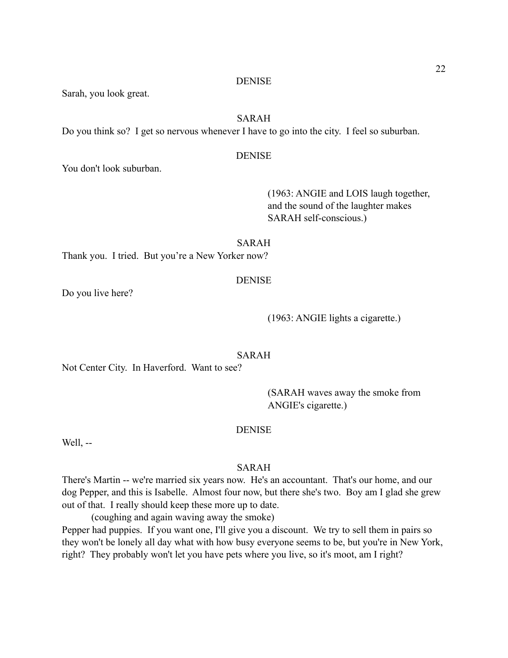#### **DENISE**

Sarah, you look great.

# SARAH

Do you think so? I get so nervous whenever I have to go into the city. I feel so suburban.

# **DENISE**

You don't look suburban.

 (1963: ANGIE and LOIS laugh together, and the sound of the laughter makes SARAH self-conscious.)

#### SARAH

Thank you. I tried. But you're a New Yorker now?

#### **DENISE**

Do you live here?

#### (1963: ANGIE lights a cigarette.)

#### SARAH

Not Center City. In Haverford. Want to see?

 (SARAH waves away the smoke from ANGIE's cigarette.)

## DENISE

Well, --

# SARAH

There's Martin -- we're married six years now. He's an accountant. That's our home, and our dog Pepper, and this is Isabelle. Almost four now, but there she's two. Boy am I glad she grew out of that. I really should keep these more up to date.

(coughing and again waving away the smoke)

Pepper had puppies. If you want one, I'll give you a discount. We try to sell them in pairs so they won't be lonely all day what with how busy everyone seems to be, but you're in New York, right? They probably won't let you have pets where you live, so it's moot, am I right?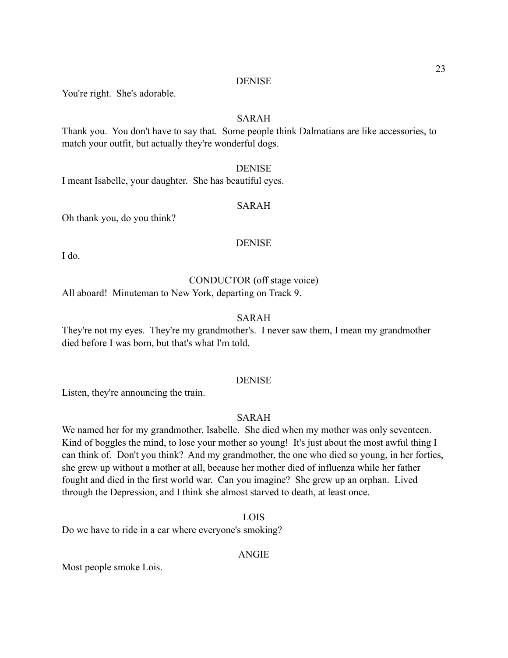#### DENISE

You're right. She's adorable.

# SARAH

Thank you. You don't have to say that. Some people think Dalmatians are like accessories, to match your outfit, but actually they're wonderful dogs.

#### DENISE

I meant Isabelle, your daughter. She has beautiful eyes.

# SARAH

Oh thank you, do you think?

# DENISE

I do.

# CONDUCTOR (off stage voice)

All aboard! Minuteman to New York, departing on Track 9.

# SARAH

They're not my eyes. They're my grandmother's. I never saw them, I mean my grandmother died before I was born, but that's what I'm told.

# DENISE

Listen, they're announcing the train.

## SARAH

We named her for my grandmother, Isabelle. She died when my mother was only seventeen. Kind of boggles the mind, to lose your mother so young! It's just about the most awful thing I can think of. Don't you think? And my grandmother, the one who died so young, in her forties, she grew up without a mother at all, because her mother died of influenza while her father fought and died in the first world war. Can you imagine? She grew up an orphan. Lived through the Depression, and I think she almost starved to death, at least once.

#### LOIS

Do we have to ride in a car where everyone's smoking?

#### ANGIE

Most people smoke Lois.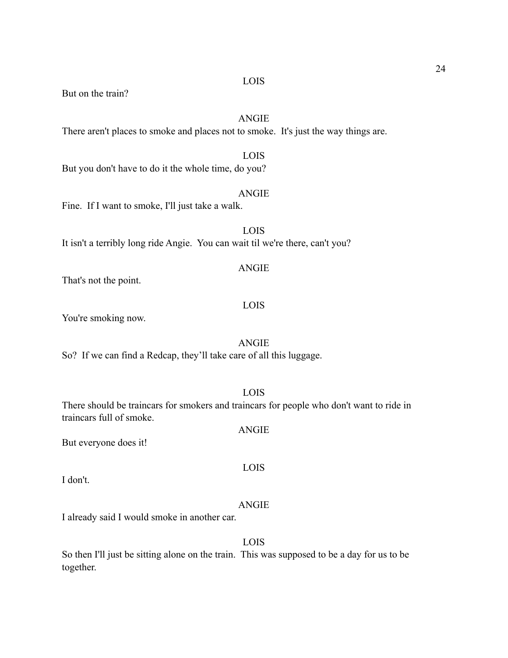But on the train?

# ANGIE

LOIS

There aren't places to smoke and places not to smoke. It's just the way things are.

But you don't have to do it the whole time, do you?

# ANGIE

Fine. If I want to smoke, I'll just take a walk.

LOIS It isn't a terribly long ride Angie. You can wait til we're there, can't you?

#### ANGIE

That's not the point.

#### LOIS

You're smoking now.

#### ANGIE

So? If we can find a Redcap, they'll take care of all this luggage.

#### LOIS

ANGIE

LOIS

There should be traincars for smokers and traincars for people who don't want to ride in traincars full of smoke.

But everyone does it!

I don't.

# ANGIE

I already said I would smoke in another car.

# LOIS

So then I'll just be sitting alone on the train. This was supposed to be a day for us to be together.

#### LOIS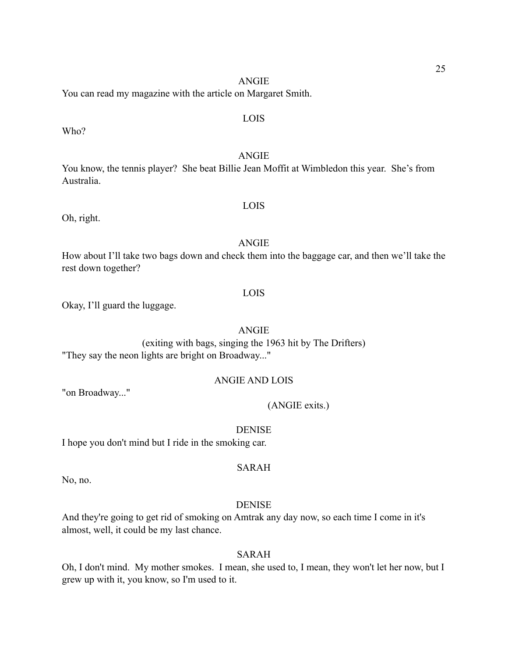You can read my magazine with the article on Margaret Smith.

Who?

#### ANGIE

You know, the tennis player? She beat Billie Jean Moffit at Wimbledon this year. She's from Australia.

Oh, right.

# ANGIE

LOIS

How about I'll take two bags down and check them into the baggage car, and then we'll take the rest down together?

#### LOIS

Okay, I'll guard the luggage.

# ANGIE

(exiting with bags, singing the 1963 hit by The Drifters) "They say the neon lights are bright on Broadway..."

#### ANGIE AND LOIS

"on Broadway..."

#### (ANGIE exits.)

DENISE

I hope you don't mind but I ride in the smoking car.

# SARAH

No, no.

#### DENISE

And they're going to get rid of smoking on Amtrak any day now, so each time I come in it's almost, well, it could be my last chance.

# SARAH

Oh, I don't mind. My mother smokes. I mean, she used to, I mean, they won't let her now, but I grew up with it, you know, so I'm used to it.

# LOIS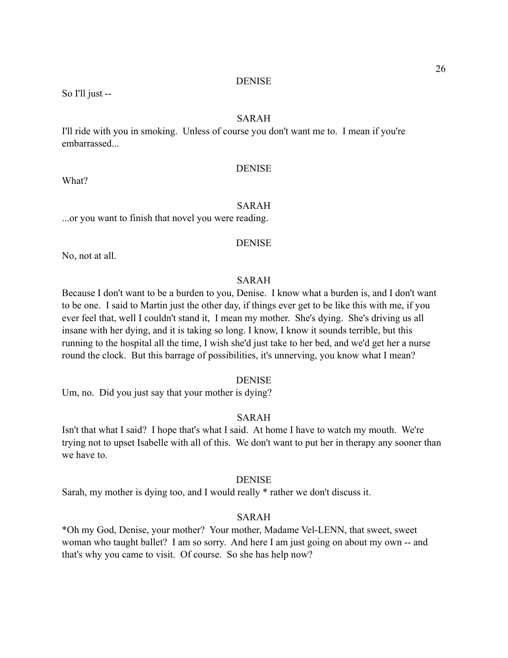#### DENISE

So I'll just --

# SARAH

I'll ride with you in smoking. Unless of course you don't want me to. I mean if you're embarrassed...

#### DENISE

What?

# SARAH

...or you want to finish that novel you were reading.

#### DENISE

No, not at all.

# SARAH

Because I don't want to be a burden to you, Denise. I know what a burden is, and I don't want to be one. I said to Martin just the other day, if things ever get to be like this with me, if you ever feel that, well I couldn't stand it, I mean my mother. She's dying. She's driving us all insane with her dying, and it is taking so long. I know, I know it sounds terrible, but this running to the hospital all the time, I wish she'd just take to her bed, and we'd get her a nurse round the clock. But this barrage of possibilities, it's unnerving, you know what I mean?

#### DENISE

Um, no. Did you just say that your mother is dying?

## SARAH

Isn't that what I said? I hope that's what I said. At home I have to watch my mouth. We're trying not to upset Isabelle with all of this. We don't want to put her in therapy any sooner than we have to.

## DENISE

Sarah, my mother is dying too, and I would really \* rather we don't discuss it.

#### SARAH

\*Oh my God, Denise, your mother? Your mother, Madame Vel-LENN, that sweet, sweet woman who taught ballet? I am so sorry. And here I am just going on about my own -- and that's why you came to visit. Of course. So she has help now?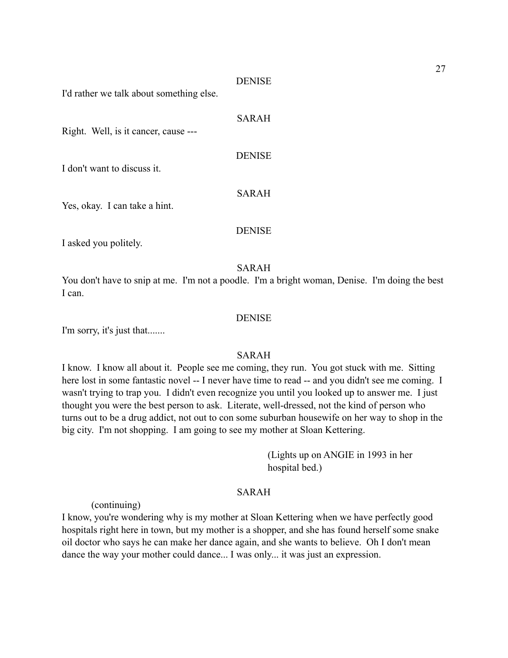#### DENISE

I'd rather we talk about something else.

| Right. Well, is it cancer, cause --- | SARAH         |
|--------------------------------------|---------------|
| I don't want to discuss it.          | <b>DENISE</b> |
| Yes, okay. I can take a hint.        | <b>SARAH</b>  |
|                                      | <b>DENISE</b> |

I asked you politely.

#### SARAH

You don't have to snip at me. I'm not a poodle. I'm a bright woman, Denise. I'm doing the best I can.

#### DENISE

I'm sorry, it's just that.......

# SARAH

I know. I know all about it. People see me coming, they run. You got stuck with me. Sitting here lost in some fantastic novel -- I never have time to read -- and you didn't see me coming. I wasn't trying to trap you. I didn't even recognize you until you looked up to answer me. I just thought you were the best person to ask. Literate, well-dressed, not the kind of person who turns out to be a drug addict, not out to con some suburban housewife on her way to shop in the big city. I'm not shopping. I am going to see my mother at Sloan Kettering.

> (Lights up on ANGIE in 1993 in her hospital bed.)

#### SARAH

(continuing)

I know, you're wondering why is my mother at Sloan Kettering when we have perfectly good hospitals right here in town, but my mother is a shopper, and she has found herself some snake oil doctor who says he can make her dance again, and she wants to believe. Oh I don't mean dance the way your mother could dance... I was only... it was just an expression.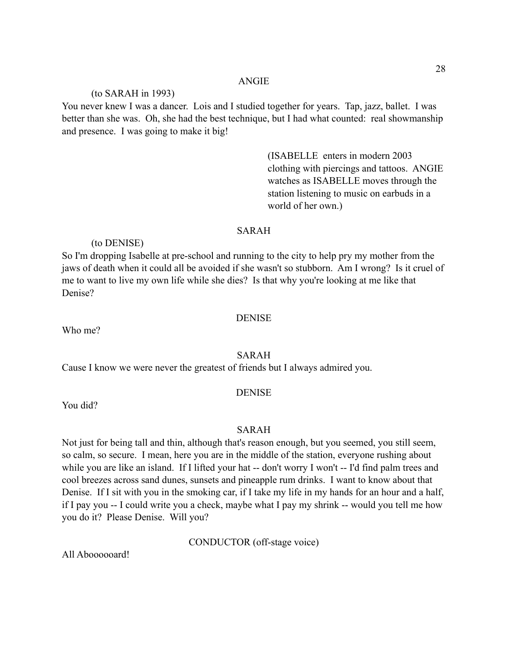#### (to SARAH in 1993)

You never knew I was a dancer. Lois and I studied together for years. Tap, jazz, ballet. I was better than she was. Oh, she had the best technique, but I had what counted: real showmanship and presence. I was going to make it big!

> (ISABELLE enters in modern 2003 clothing with piercings and tattoos. ANGIE watches as ISABELLE moves through the station listening to music on earbuds in a world of her own.)

#### SARAH

(to DENISE)

So I'm dropping Isabelle at pre-school and running to the city to help pry my mother from the jaws of death when it could all be avoided if she wasn't so stubborn. Am I wrong? Is it cruel of me to want to live my own life while she dies? Is that why you're looking at me like that Denise?

#### DENISE

Who me?

## SARAH

Cause I know we were never the greatest of friends but I always admired you.

#### DENISE

You did?

# SARAH

Not just for being tall and thin, although that's reason enough, but you seemed, you still seem, so calm, so secure. I mean, here you are in the middle of the station, everyone rushing about while you are like an island. If I lifted your hat -- don't worry I won't -- I'd find palm trees and cool breezes across sand dunes, sunsets and pineapple rum drinks. I want to know about that Denise. If I sit with you in the smoking car, if I take my life in my hands for an hour and a half, if I pay you -- I could write you a check, maybe what I pay my shrink -- would you tell me how you do it? Please Denise. Will you?

CONDUCTOR (off-stage voice)

All Aboooooard!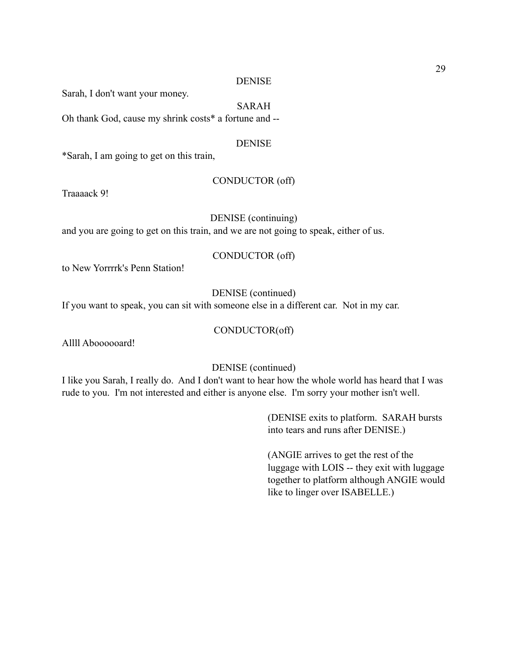#### DENISE

Sarah, I don't want your money.

# SARAH

Oh thank God, cause my shrink costs\* a fortune and --

#### DENISE

\*Sarah, I am going to get on this train,

#### CONDUCTOR (off)

Traaaack 9!

#### DENISE (continuing)

and you are going to get on this train, and we are not going to speak, either of us.

#### CONDUCTOR (off)

to New Yorrrrk's Penn Station!

# DENISE (continued)

If you want to speak, you can sit with someone else in a different car. Not in my car.

# CONDUCTOR(off)

Allll Aboooooard!

#### DENISE (continued)

I like you Sarah, I really do. And I don't want to hear how the whole world has heard that I was rude to you. I'm not interested and either is anyone else. I'm sorry your mother isn't well.

> (DENISE exits to platform. SARAH bursts into tears and runs after DENISE.)

 (ANGIE arrives to get the rest of the luggage with LOIS -- they exit with luggage together to platform although ANGIE would like to linger over ISABELLE.)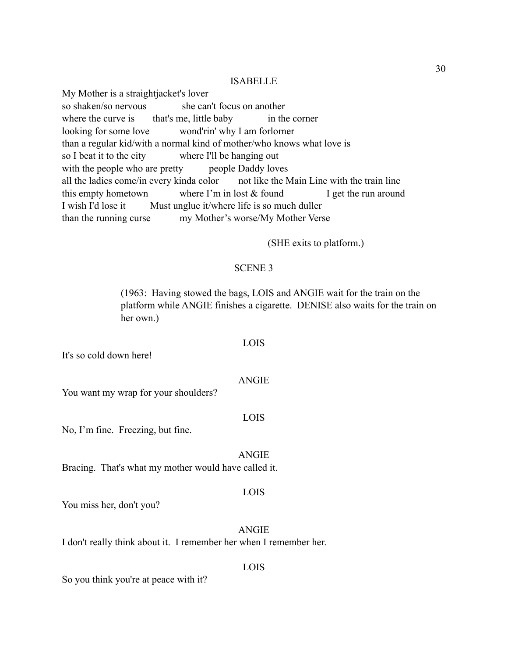#### ISABELLE

My Mother is a straightjacket's lover so shaken/so nervous she can't focus on another where the curve is that's me, little baby in the corner looking for some love wond'rin' why I am forlorner than a regular kid/with a normal kind of mother/who knows what love is so I beat it to the city where I'll be hanging out with the people who are pretty people Daddy loves all the ladies come/in every kinda color not like the Main Line with the train line this empty hometown where I'm in lost  $&$  found I get the run around I wish I'd lose it Must unglue it/where life is so much duller than the running curse my Mother's worse/My Mother Verse

(SHE exits to platform.)

#### SCENE 3

 (1963: Having stowed the bags, LOIS and ANGIE wait for the train on the platform while ANGIE finishes a cigarette. DENISE also waits for the train on her own.)

It's so cold down here!

ANGIE

LOIS

You want my wrap for your shoulders?

LOIS

No, I'm fine. Freezing, but fine.

ANGIE Bracing. That's what my mother would have called it.

#### LOIS

You miss her, don't you?

ANGIE

LOIS

I don't really think about it. I remember her when I remember her.

So you think you're at peace with it?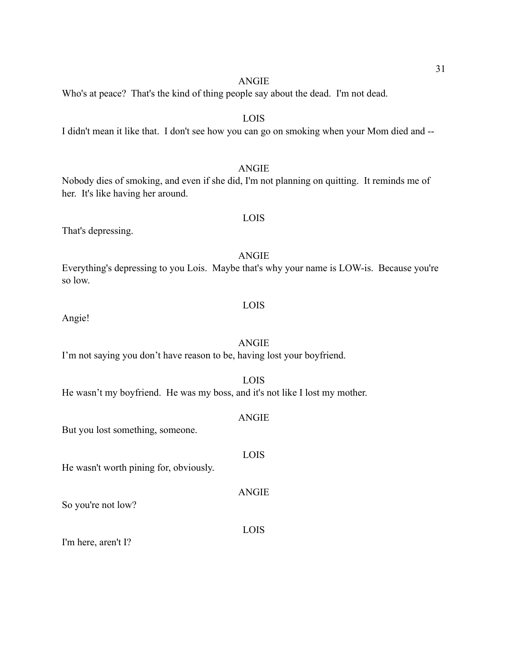LOIS

Who's at peace? That's the kind of thing people say about the dead. I'm not dead.

I didn't mean it like that. I don't see how you can go on smoking when your Mom died and --

ANGIE Nobody dies of smoking, and even if she did, I'm not planning on quitting. It reminds me of her. It's like having her around.

LOIS

That's depressing.

ANGIE Everything's depressing to you Lois. Maybe that's why your name is LOW-is. Because you're so low.

Angie!

# ANGIE

I'm not saying you don't have reason to be, having lost your boyfriend.

- He wasn't my boyfriend. He was my boss, and it's not like I lost my mother.
- But you lost something, someone.

He wasn't worth pining for, obviously.

So you're not low?

I'm here, aren't I?

LOIS

LOIS

# ANGIE

LOIS

ANGIE

LOIS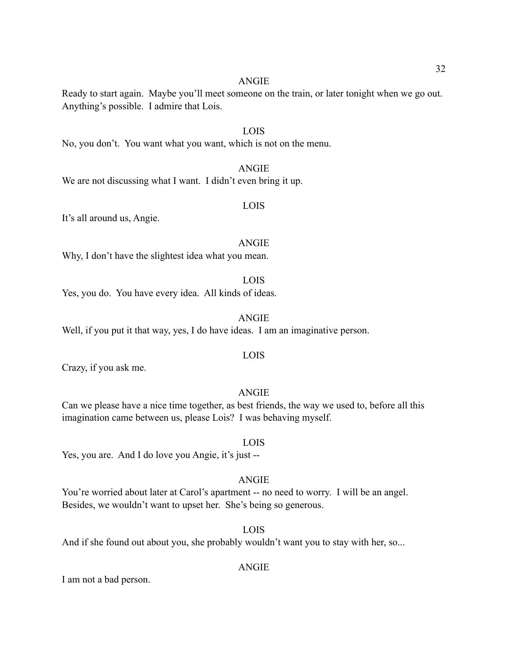Ready to start again. Maybe you'll meet someone on the train, or later tonight when we go out. Anything's possible. I admire that Lois.

LOIS No, you don't. You want what you want, which is not on the menu.

We are not discussing what I want. I didn't even bring it up.

# LOIS

It's all around us, Angie.

#### ANGIE

Why, I don't have the slightest idea what you mean.

#### LOIS

Yes, you do. You have every idea. All kinds of ideas.

# ANGIE

Well, if you put it that way, yes, I do have ideas. I am an imaginative person.

#### LOIS

Crazy, if you ask me.

#### ANGIE

Can we please have a nice time together, as best friends, the way we used to, before all this imagination came between us, please Lois? I was behaving myself.

#### LOIS

Yes, you are. And I do love you Angie, it's just --

# ANGIE

You're worried about later at Carol's apartment -- no need to worry. I will be an angel. Besides, we wouldn't want to upset her. She's being so generous.

#### LOIS

And if she found out about you, she probably wouldn't want you to stay with her, so...

# ANGIE

I am not a bad person.

# ANGIE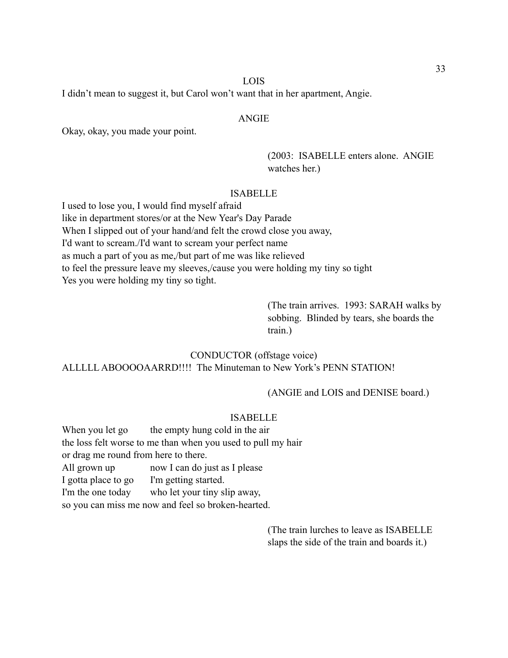#### LOIS

I didn't mean to suggest it, but Carol won't want that in her apartment, Angie.

#### ANGIE

Okay, okay, you made your point.

 (2003: ISABELLE enters alone. ANGIE watches her.)

#### ISABELLE

I used to lose you, I would find myself afraid like in department stores/or at the New Year's Day Parade When I slipped out of your hand/and felt the crowd close you away, I'd want to scream./I'd want to scream your perfect name as much a part of you as me,/but part of me was like relieved to feel the pressure leave my sleeves,/cause you were holding my tiny so tight Yes you were holding my tiny so tight.

 (The train arrives. 1993: SARAH walks by sobbing. Blinded by tears, she boards the train.)

CONDUCTOR (offstage voice) ALLLLL ABOOOOAARRD!!!! The Minuteman to New York's PENN STATION!

(ANGIE and LOIS and DENISE board.)

#### ISABELLE

When you let go the empty hung cold in the air the loss felt worse to me than when you used to pull my hair or drag me round from here to there. All grown up now I can do just as I please I gotta place to go I'm getting started. I'm the one today who let your tiny slip away, so you can miss me now and feel so broken-hearted.

> (The train lurches to leave as ISABELLE slaps the side of the train and boards it.)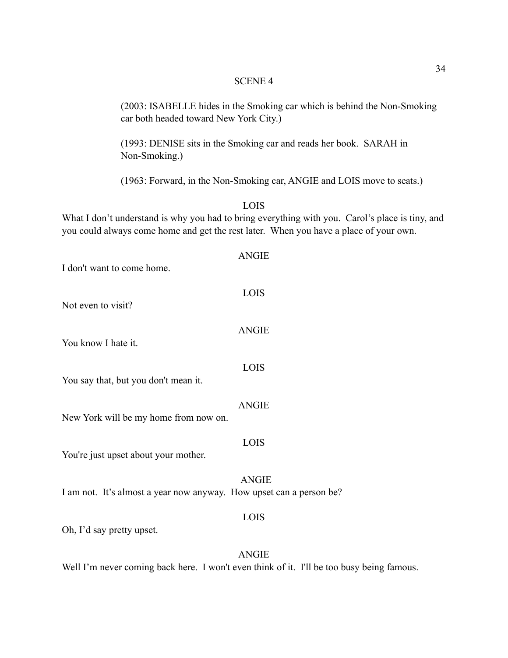# SCENE 4

|                                       | (2003: ISABELLE hides in the Smoking car which is behind the Non-Smoking<br>car both headed toward New York City.)                                                                               |
|---------------------------------------|--------------------------------------------------------------------------------------------------------------------------------------------------------------------------------------------------|
| Non-Smoking.)                         | (1993: DENISE sits in the Smoking car and reads her book. SARAH in                                                                                                                               |
|                                       | (1963: Forward, in the Non-Smoking car, ANGIE and LOIS move to seats.)                                                                                                                           |
|                                       | LOIS<br>What I don't understand is why you had to bring everything with you. Carol's place is tiny, and<br>you could always come home and get the rest later. When you have a place of your own. |
| I don't want to come home.            | <b>ANGIE</b>                                                                                                                                                                                     |
|                                       |                                                                                                                                                                                                  |
| Not even to visit?                    | LOIS                                                                                                                                                                                             |
| You know I hate it.                   | <b>ANGIE</b>                                                                                                                                                                                     |
| You say that, but you don't mean it.  | <b>LOIS</b>                                                                                                                                                                                      |
| New York will be my home from now on. | <b>ANGIE</b>                                                                                                                                                                                     |
|                                       |                                                                                                                                                                                                  |
| You're just upset about your mother.  | LOIS                                                                                                                                                                                             |
|                                       | <b>ANGIE</b><br>I am not. It's almost a year now anyway. How upset can a person be?                                                                                                              |
| Oh, I'd say pretty upset.             | LOIS                                                                                                                                                                                             |
|                                       |                                                                                                                                                                                                  |
|                                       | <b>ANGIE</b>                                                                                                                                                                                     |

Well I'm never coming back here. I won't even think of it. I'll be too busy being famous.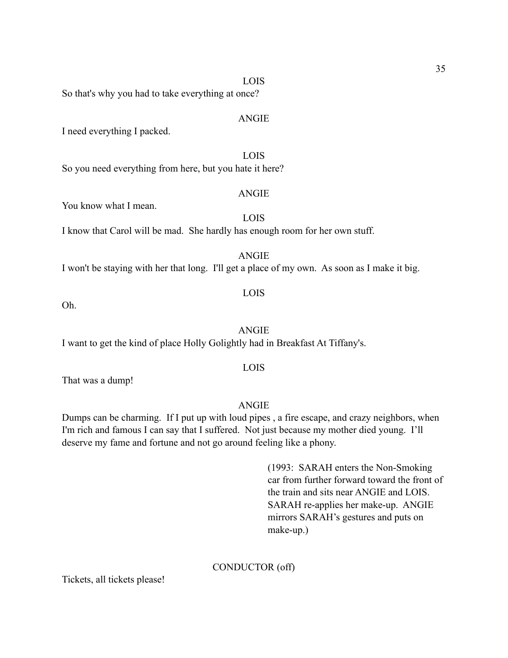LOIS

So that's why you had to take everything at once?

# ANGIE

I need everything I packed.

LOIS

So you need everything from here, but you hate it here?

#### ANGIE

You know what I mean.

LOIS

I know that Carol will be mad. She hardly has enough room for her own stuff.

ANGIE

I won't be staying with her that long. I'll get a place of my own. As soon as I make it big.

# LOIS

Oh.

#### ANGIE

I want to get the kind of place Holly Golightly had in Breakfast At Tiffany's.

# LOIS

That was a dump!

# ANGIE

Dumps can be charming. If I put up with loud pipes , a fire escape, and crazy neighbors, when I'm rich and famous I can say that I suffered. Not just because my mother died young. I'll deserve my fame and fortune and not go around feeling like a phony.

> (1993: SARAH enters the Non-Smoking car from further forward toward the front of the train and sits near ANGIE and LOIS. SARAH re-applies her make-up. ANGIE mirrors SARAH's gestures and puts on make-up.)

### CONDUCTOR (off)

Tickets, all tickets please!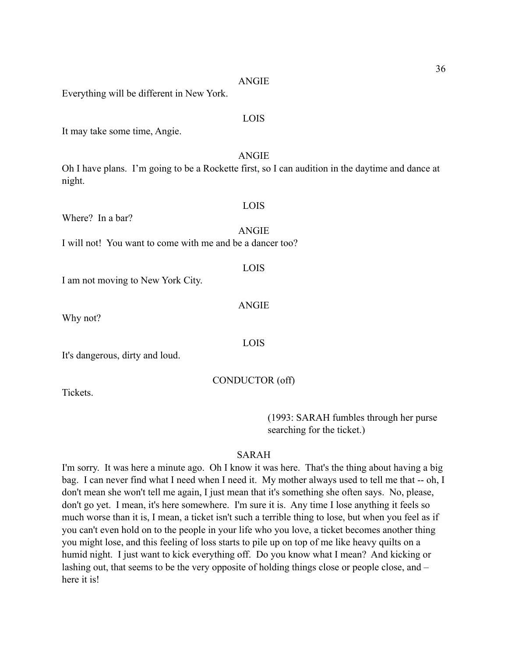| LOIS<br>It may take some time, Angie.                                                                                      |
|----------------------------------------------------------------------------------------------------------------------------|
| <b>ANGIE</b><br>Oh I have plans. I'm going to be a Rockette first, so I can audition in the daytime and dance at<br>night. |
| LOIS<br>Where? In a bar?<br><b>ANGIE</b><br>I will not! You want to come with me and be a dancer too?                      |
| LOIS<br>I am not moving to New York City.                                                                                  |
| <b>ANGIE</b><br>Why not?                                                                                                   |
| LOIS<br>It's dangerous, dirty and loud.                                                                                    |
| CONDUCTOR (off)                                                                                                            |

ANGIE

Everything will be different in New York.

Tickets.

 (1993: SARAH fumbles through her purse searching for the ticket.)

36

# SARAH

I'm sorry. It was here a minute ago. Oh I know it was here. That's the thing about having a big bag. I can never find what I need when I need it. My mother always used to tell me that -- oh, I don't mean she won't tell me again, I just mean that it's something she often says. No, please, don't go yet. I mean, it's here somewhere. I'm sure it is. Any time I lose anything it feels so much worse than it is, I mean, a ticket isn't such a terrible thing to lose, but when you feel as if you can't even hold on to the people in your life who you love, a ticket becomes another thing you might lose, and this feeling of loss starts to pile up on top of me like heavy quilts on a humid night. I just want to kick everything off. Do you know what I mean? And kicking or lashing out, that seems to be the very opposite of holding things close or people close, and – here it is!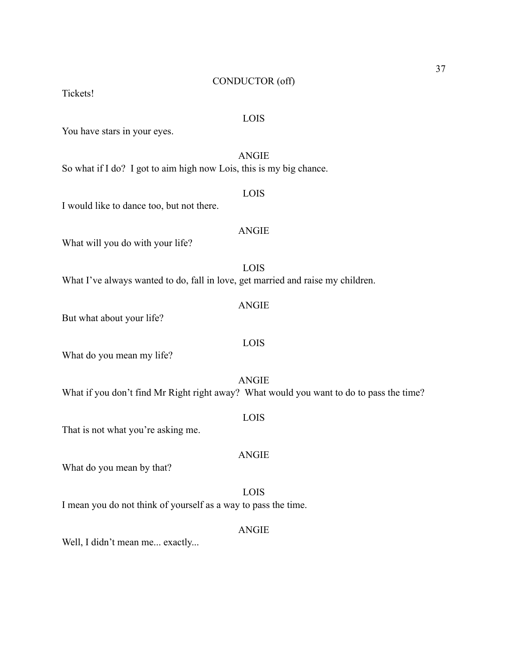#### CONDUCTOR (off)

Tickets!

#### LOIS

You have stars in your eyes.

# ANGIE

So what if I do? I got to aim high now Lois, this is my big chance.

# I would like to dance too, but not there.

What will you do with your life?

LOIS What I've always wanted to do, fall in love, get married and raise my children.

But what about your life?

What do you mean my life?

ANGIE What if you don't find Mr Right right away? What would you want to do to pass the time?

That is not what you're asking me.

# ANGIE

What do you mean by that?

LOIS

I mean you do not think of yourself as a way to pass the time.

#### ANGIE

Well, I didn't mean me... exactly...

# ANGIE

LOIS

# ANGIE

LOIS

LOIS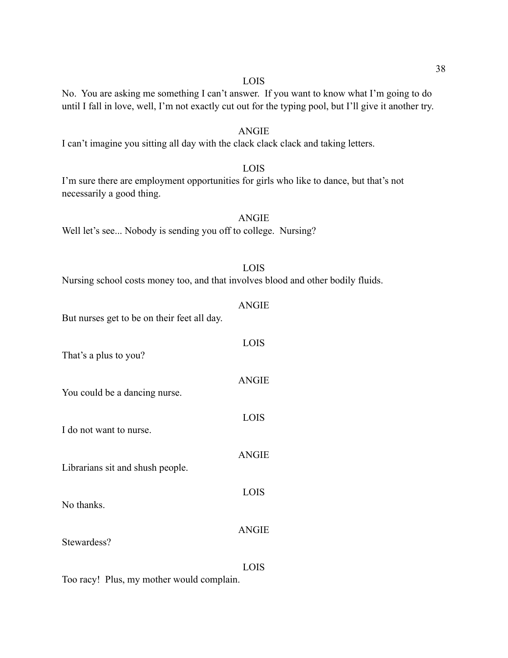#### LOIS

# No. You are asking me something I can't answer. If you want to know what I'm going to do until I fall in love, well, I'm not exactly cut out for the typing pool, but I'll give it another try.

# ANGIE I can't imagine you sitting all day with the clack clack clack and taking letters.

LOIS I'm sure there are employment opportunities for girls who like to dance, but that's not necessarily a good thing.

ANGIE Well let's see... Nobody is sending you off to college. Nursing?

| <b>LOIS</b>                                                                      |  |
|----------------------------------------------------------------------------------|--|
| Nursing school costs money too, and that involves blood and other bodily fluids. |  |

| But nurses get to be on their feet all day. | <b>ANGIE</b> |
|---------------------------------------------|--------------|
| That's a plus to you?                       | LOIS         |
| You could be a dancing nurse.               | <b>ANGIE</b> |
| I do not want to nurse.                     | LOIS         |
| Librarians sit and shush people.            | <b>ANGIE</b> |
| No thanks.                                  | LOIS         |
| Stewardess?                                 | <b>ANGIE</b> |
|                                             | LOIS         |

Too racy! Plus, my mother would complain.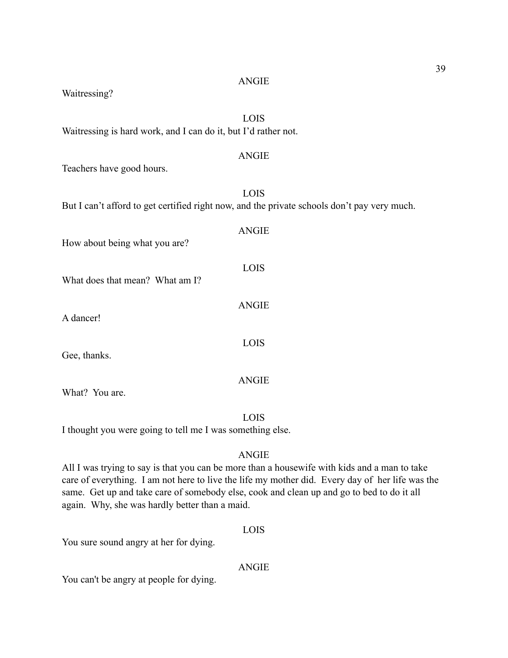#### ANGIE

# Waitressing?

LOIS Waitressing is hard work, and I can do it, but I'd rather not.

# ANGIE

Teachers have good hours.

|                                 | LOIS<br>But I can't afford to get certified right now, and the private schools don't pay very much. |
|---------------------------------|-----------------------------------------------------------------------------------------------------|
| How about being what you are?   | <b>ANGIE</b>                                                                                        |
| What does that mean? What am I? | <b>LOIS</b>                                                                                         |
| A dancer!                       | <b>ANGIE</b>                                                                                        |
| Gee, thanks.                    | <b>LOIS</b>                                                                                         |
| What? You are.                  | <b>ANGIE</b>                                                                                        |

LOIS

I thought you were going to tell me I was something else.

# ANGIE

All I was trying to say is that you can be more than a housewife with kids and a man to take care of everything. I am not here to live the life my mother did. Every day of her life was the same. Get up and take care of somebody else, cook and clean up and go to bed to do it all again. Why, she was hardly better than a maid.

#### LOIS

You sure sound angry at her for dying.

# ANGIE

You can't be angry at people for dying.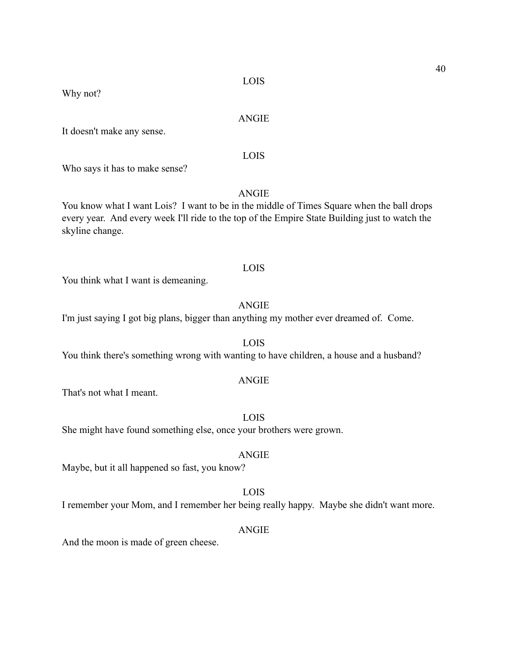Why not?

#### ANGIE

It doesn't make any sense.

# LOIS

Who says it has to make sense?

# ANGIE

You know what I want Lois? I want to be in the middle of Times Square when the ball drops every year. And every week I'll ride to the top of the Empire State Building just to watch the skyline change.

#### LOIS

You think what I want is demeaning.

# ANGIE

I'm just saying I got big plans, bigger than anything my mother ever dreamed of. Come.

LOIS You think there's something wrong with wanting to have children, a house and a husband?

#### ANGIE

That's not what I meant.

LOIS

She might have found something else, once your brothers were grown.

# ANGIE

Maybe, but it all happened so fast, you know?

# LOIS

I remember your Mom, and I remember her being really happy. Maybe she didn't want more.

#### ANGIE

And the moon is made of green cheese.

# 40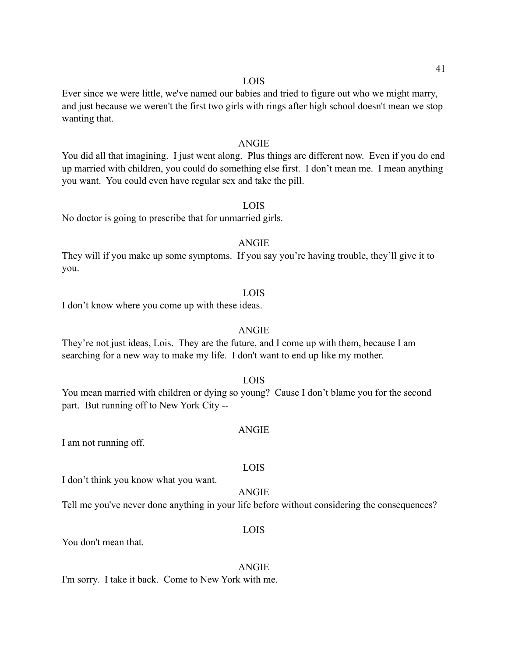#### LOIS

Ever since we were little, we've named our babies and tried to figure out who we might marry, and just because we weren't the first two girls with rings after high school doesn't mean we stop wanting that.

#### ANGIE

You did all that imagining. I just went along. Plus things are different now. Even if you do end up married with children, you could do something else first. I don't mean me. I mean anything you want. You could even have regular sex and take the pill.

#### LOIS

No doctor is going to prescribe that for unmarried girls.

#### ANGIE

They will if you make up some symptoms. If you say you're having trouble, they'll give it to you.

#### LOIS

I don't know where you come up with these ideas.

#### ANGIE

They're not just ideas, Lois. They are the future, and I come up with them, because I am searching for a new way to make my life. I don't want to end up like my mother.

#### LOIS

You mean married with children or dying so young? Cause I don't blame you for the second part. But running off to New York City --

#### ANGIE

I am not running off.

#### LOIS

I don't think you know what you want.

# ANGIE

Tell me you've never done anything in your life before without considering the consequences?

#### LOIS

You don't mean that.

#### ANGIE

I'm sorry. I take it back. Come to New York with me.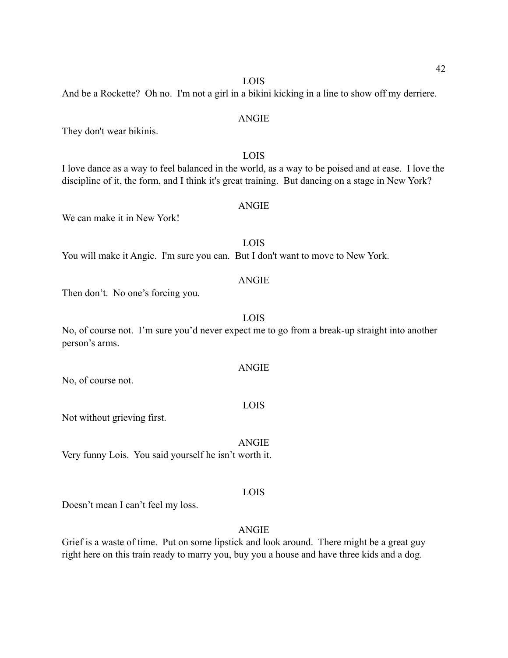42

#### LOIS

And be a Rockette? Oh no. I'm not a girl in a bikini kicking in a line to show off my derriere.

# ANGIE

They don't wear bikinis.

LOIS I love dance as a way to feel balanced in the world, as a way to be poised and at ease. I love the discipline of it, the form, and I think it's great training. But dancing on a stage in New York?

ANGIE

We can make it in New York!

LOIS You will make it Angie. I'm sure you can. But I don't want to move to New York.

# ANGIE

Then don't. No one's forcing you.

# LOIS

No, of course not. I'm sure you'd never expect me to go from a break-up straight into another person's arms.

No, of course not.

#### LOIS

Not without grieving first.

ANGIE Very funny Lois. You said yourself he isn't worth it.

# LOIS

Doesn't mean I can't feel my loss.

# ANGIE

Grief is a waste of time. Put on some lipstick and look around. There might be a great guy right here on this train ready to marry you, buy you a house and have three kids and a dog.

# ANGIE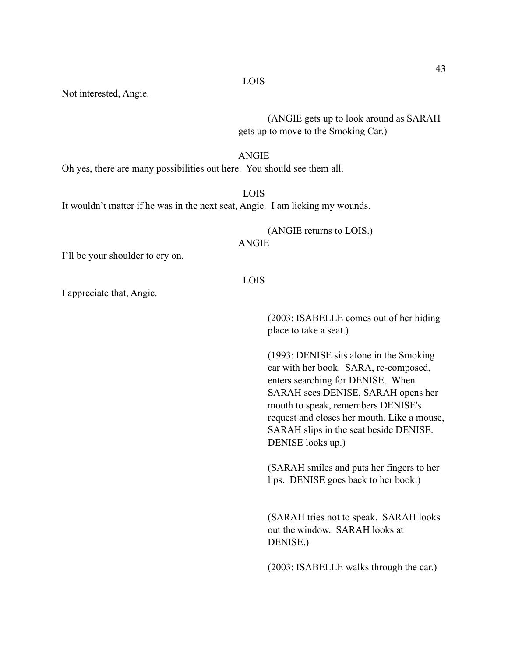Not interested, Angie.

 (ANGIE gets up to look around as SARAH gets up to move to the Smoking Car.)

#### ANGIE

Oh yes, there are many possibilities out here. You should see them all.

# LOIS

It wouldn't matter if he was in the next seat, Angie. I am licking my wounds.

(ANGIE returns to LOIS.)

ANGIE

I'll be your shoulder to cry on.

#### LOIS

I appreciate that, Angie.

 (2003: ISABELLE comes out of her hiding place to take a seat.)

 (1993: DENISE sits alone in the Smoking car with her book. SARA, re-composed, enters searching for DENISE. When SARAH sees DENISE, SARAH opens her mouth to speak, remembers DENISE's request and closes her mouth. Like a mouse, SARAH slips in the seat beside DENISE. DENISE looks up.)

 (SARAH smiles and puts her fingers to her lips. DENISE goes back to her book.)

 (SARAH tries not to speak. SARAH looks out the window. SARAH looks at DENISE.)

(2003: ISABELLE walks through the car.)

#### LOIS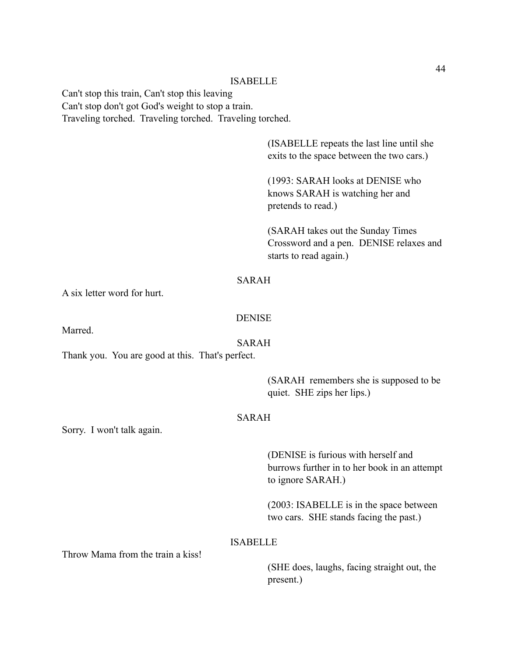Can't stop this train, Can't stop this leaving Can't stop don't got God's weight to stop a train. Traveling torched. Traveling torched. Traveling torched.

> (ISABELLE repeats the last line until she exits to the space between the two cars.)

 (1993: SARAH looks at DENISE who knows SARAH is watching her and pretends to read.)

 (SARAH takes out the Sunday Times Crossword and a pen. DENISE relaxes and starts to read again.)

# SARAH

A six letter word for hurt.

# DENISE

Marred.

# SARAH

Thank you. You are good at this. That's perfect.

 (SARAH remembers she is supposed to be quiet. SHE zips her lips.)

# SARAH

Sorry. I won't talk again.

 (DENISE is furious with herself and burrows further in to her book in an attempt to ignore SARAH.)

 (2003: ISABELLE is in the space between two cars. SHE stands facing the past.)

# ISABELLE

Throw Mama from the train a kiss!

 (SHE does, laughs, facing straight out, the present.)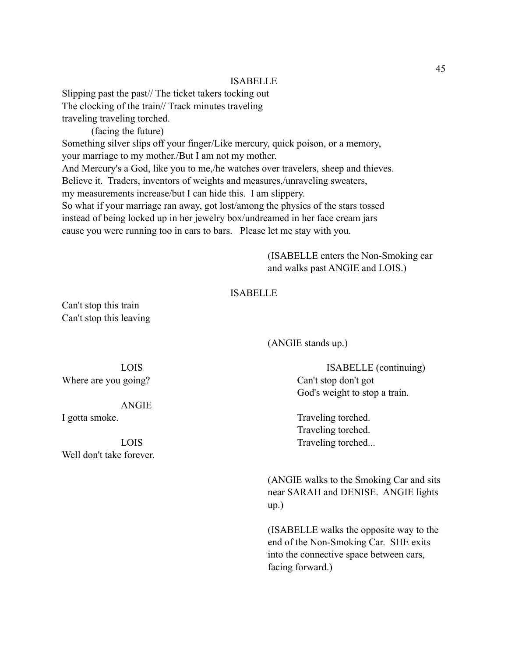Slipping past the past// The ticket takers tocking out The clocking of the train// Track minutes traveling traveling traveling torched.

(facing the future)

Something silver slips off your finger/Like mercury, quick poison, or a memory,

your marriage to my mother./But I am not my mother.

And Mercury's a God, like you to me,/he watches over travelers, sheep and thieves.

Believe it. Traders, inventors of weights and measures,/unraveling sweaters,

my measurements increase/but I can hide this. I am slippery.

So what if your marriage ran away, got lost/among the physics of the stars tossed instead of being locked up in her jewelry box/undreamed in her face cream jars cause you were running too in cars to bars. Please let me stay with you.

> (ISABELLE enters the Non-Smoking car and walks past ANGIE and LOIS.)

# ISABELLE

Can't stop this train Can't stop this leaving

(ANGIE stands up.)

 LOIS ISABELLE (continuing) God's weight to stop a train.

I gotta smoke. Traveling torched. Traveling torched. LOIS Traveling torched...

 (ANGIE walks to the Smoking Car and sits near SARAH and DENISE. ANGIE lights up.)

> (ISABELLE walks the opposite way to the end of the Non-Smoking Car. SHE exits into the connective space between cars, facing forward.)

Where are you going? Can't stop don't got

ANGIE

Well don't take forever.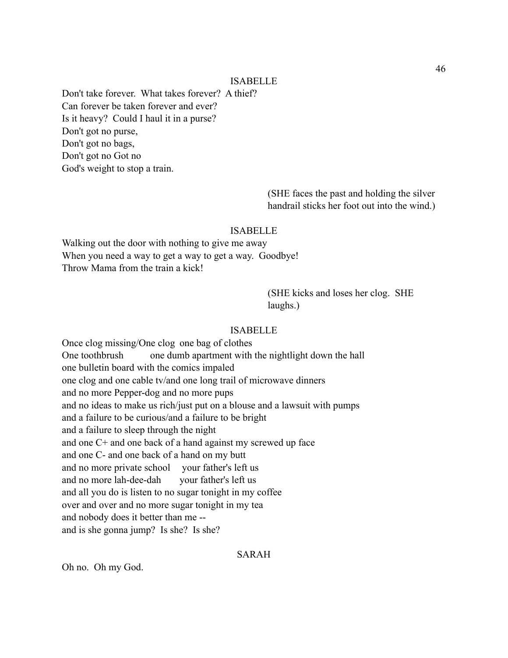Don't take forever. What takes forever? A thief? Can forever be taken forever and ever? Is it heavy? Could I haul it in a purse? Don't got no purse, Don't got no bags, Don't got no Got no God's weight to stop a train.

> (SHE faces the past and holding the silver handrail sticks her foot out into the wind.)

#### ISABELLE

Walking out the door with nothing to give me away When you need a way to get a way to get a way. Goodbye! Throw Mama from the train a kick!

> (SHE kicks and loses her clog. SHE laughs.)

#### ISABELLE

Once clog missing/One clog one bag of clothes One toothbrush one dumb apartment with the nightlight down the hall one bulletin board with the comics impaled one clog and one cable tv/and one long trail of microwave dinners and no more Pepper-dog and no more pups and no ideas to make us rich/just put on a blouse and a lawsuit with pumps and a failure to be curious/and a failure to be bright and a failure to sleep through the night and one C+ and one back of a hand against my screwed up face and one C- and one back of a hand on my butt and no more private school your father's left us and no more lah-dee-dah your father's left us and all you do is listen to no sugar tonight in my coffee over and over and no more sugar tonight in my tea and nobody does it better than me - and is she gonna jump? Is she? Is she?

SARAH

Oh no. Oh my God.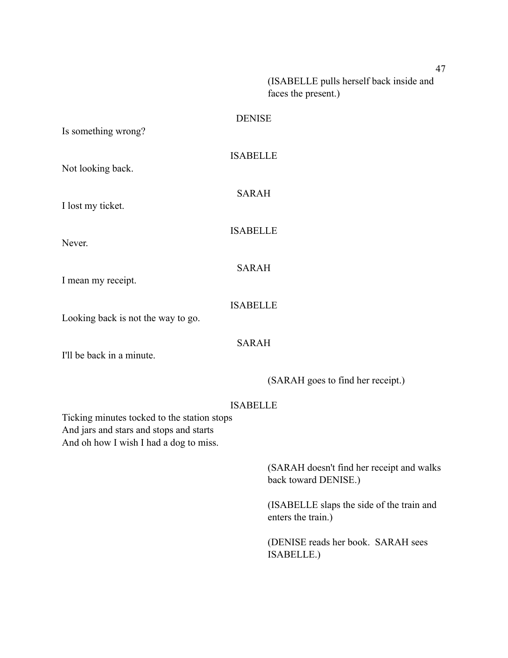(ISABELLE pulls herself back inside and faces the present.)

| Is something wrong?                                                                                                              | <b>DENISE</b>                                                     |
|----------------------------------------------------------------------------------------------------------------------------------|-------------------------------------------------------------------|
| Not looking back.                                                                                                                | <b>ISABELLE</b>                                                   |
| I lost my ticket.                                                                                                                | <b>SARAH</b>                                                      |
| Never.                                                                                                                           | <b>ISABELLE</b>                                                   |
|                                                                                                                                  | <b>SARAH</b>                                                      |
| I mean my receipt.                                                                                                               | <b>ISABELLE</b>                                                   |
| Looking back is not the way to go.                                                                                               |                                                                   |
| I'll be back in a minute.                                                                                                        | <b>SARAH</b>                                                      |
|                                                                                                                                  | (SARAH goes to find her receipt.)                                 |
| Ticking minutes tocked to the station stops<br>And jars and stars and stops and starts<br>And oh how I wish I had a dog to miss. | <b>ISABELLE</b>                                                   |
|                                                                                                                                  | (SARAH doesn't find her receipt and walks<br>back toward DENISE.) |
|                                                                                                                                  | (ISABELLE slaps the side of the train and<br>enters the train.)   |
|                                                                                                                                  | (DENISE reads her book. SARAH sees<br>ISABELLE.)                  |

47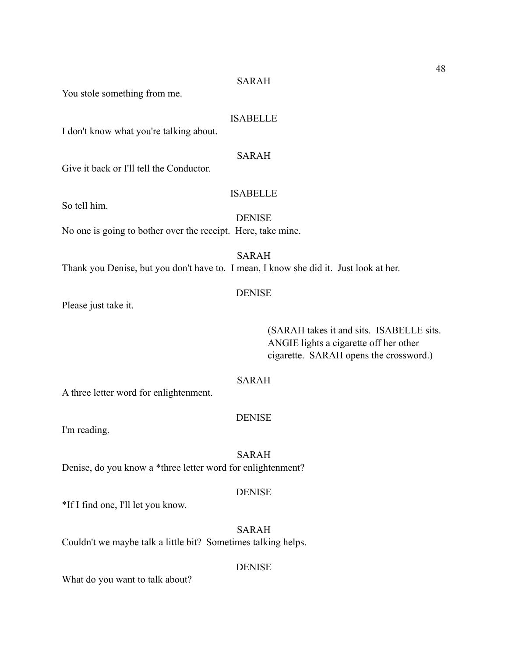You stole something from me.

#### ISABELLE

I don't know what you're talking about.

# SARAH

Give it back or I'll tell the Conductor.

# ISABELLE

So tell him.

DENISE

No one is going to bother over the receipt. Here, take mine.

SARAH

Thank you Denise, but you don't have to. I mean, I know she did it. Just look at her.

# DENISE

Please just take it.

 (SARAH takes it and sits. ISABELLE sits. ANGIE lights a cigarette off her other cigarette. SARAH opens the crossword.)

# SARAH

A three letter word for enlightenment.

# **DENISE**

I'm reading.

SARAH Denise, do you know a \*three letter word for enlightenment?

#### **DENISE**

\*If I find one, I'll let you know.

SARAH Couldn't we maybe talk a little bit? Sometimes talking helps.

# DENISE

What do you want to talk about?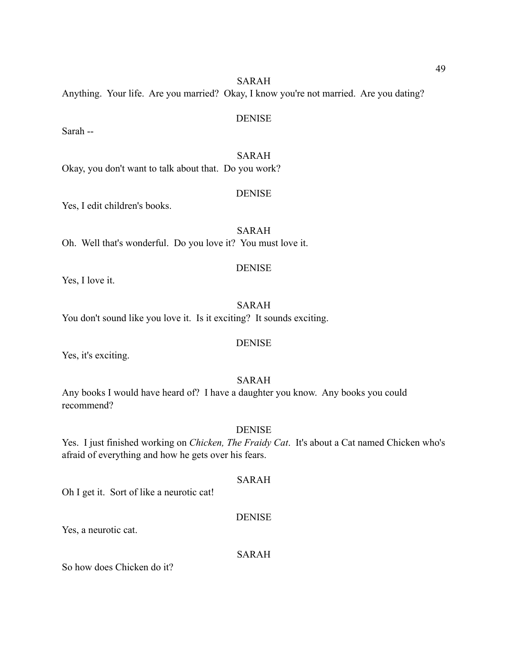SARAH Anything. Your life. Are you married? Okay, I know you're not married. Are you dating?

Sarah --

SARAH Okay, you don't want to talk about that. Do you work?

Yes, I edit children's books.

SARAH Oh. Well that's wonderful. Do you love it? You must love it.

#### DENISE

Yes, I love it.

SARAH You don't sound like you love it. Is it exciting? It sounds exciting.

# DENISE

Yes, it's exciting.

#### SARAH

Any books I would have heard of? I have a daughter you know. Any books you could recommend?

#### DENISE

Yes. I just finished working on *Chicken, The Fraidy Cat*. It's about a Cat named Chicken who's afraid of everything and how he gets over his fears.

SARAH

Oh I get it. Sort of like a neurotic cat!

# DENISE

Yes, a neurotic cat.

SARAH

So how does Chicken do it?

# DENISE

**DENISE**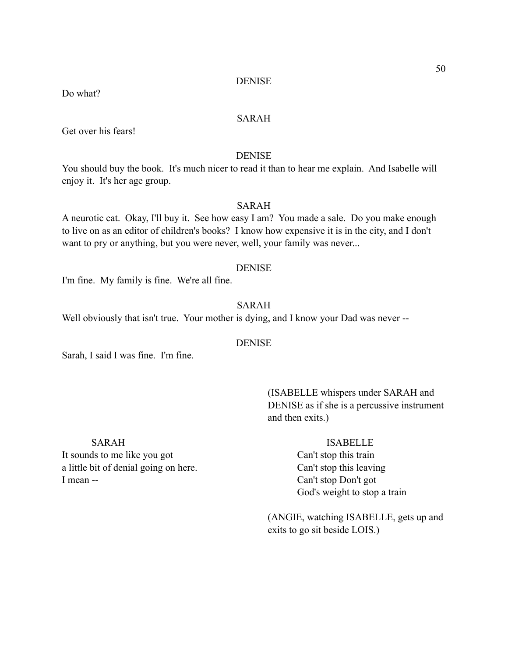Do what?

# SARAH

Get over his fears!

#### DENISE

You should buy the book. It's much nicer to read it than to hear me explain. And Isabelle will enjoy it. It's her age group.

# SARAH

A neurotic cat. Okay, I'll buy it. See how easy I am? You made a sale. Do you make enough to live on as an editor of children's books? I know how expensive it is in the city, and I don't want to pry or anything, but you were never, well, your family was never...

#### DENISE

I'm fine. My family is fine. We're all fine.

# SARAH

Well obviously that isn't true. Your mother is dying, and I know your Dad was never --

# DENISE

Sarah, I said I was fine. I'm fine.

 (ISABELLE whispers under SARAH and DENISE as if she is a percussive instrument and then exits.)

It sounds to me like you got Can't stop this train a little bit of denial going on here. Can't stop this leaving I mean -- Can't stop Don't got

#### SARAH ISABELLE

God's weight to stop a train

 (ANGIE, watching ISABELLE, gets up and exits to go sit beside LOIS.)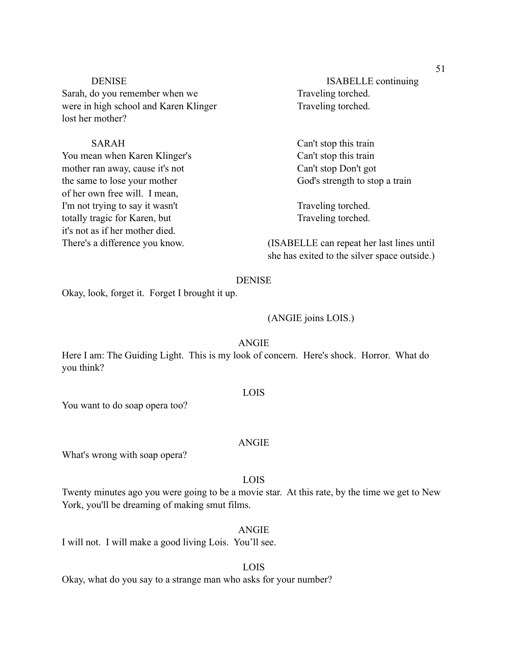Sarah, do you remember when we Traveling torched. were in high school and Karen Klinger Traveling torched. lost her mother?

You mean when Karen Klinger's Can't stop this train mother ran away, cause it's not Can't stop Don't got the same to lose your mother God's strength to stop a train of her own free will. I mean, I'm not trying to say it wasn't Traveling torched. totally tragic for Karen, but Traveling torched. it's not as if her mother died.

DENISE ISABELLE continuing

SARAH Can't stop this train

There's a difference you know. (ISABELLE can repeat her last lines until she has exited to the silver space outside.)

## DENISE

Okay, look, forget it. Forget I brought it up.

#### (ANGIE joins LOIS.)

# ANGIE

Here I am: The Guiding Light. This is my look of concern. Here's shock. Horror. What do you think?

#### LOIS

You want to do soap opera too?

#### ANGIE

What's wrong with soap opera?

#### LOIS

Twenty minutes ago you were going to be a movie star. At this rate, by the time we get to New York, you'll be dreaming of making smut films.

#### ANGIE

I will not. I will make a good living Lois. You'll see.

# LOIS

Okay, what do you say to a strange man who asks for your number?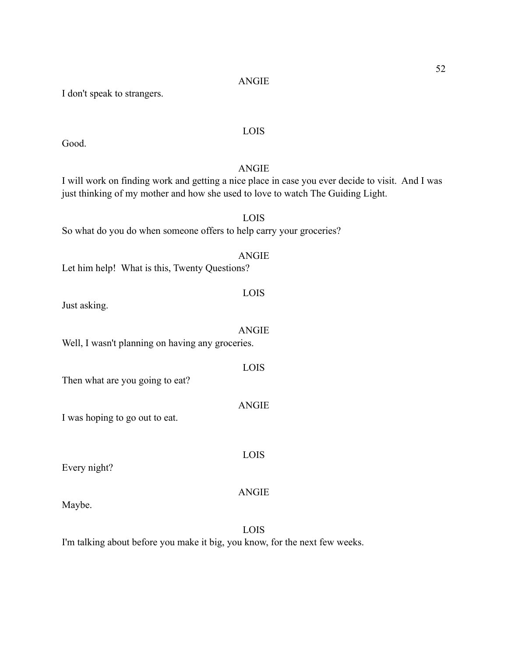| <b>ANGIE</b>                                                                                                                                                                        |
|-------------------------------------------------------------------------------------------------------------------------------------------------------------------------------------|
| I will work on finding work and getting a nice place in case you ever decide to visit. And I was<br>just thinking of my mother and how she used to love to watch The Guiding Light. |
|                                                                                                                                                                                     |
| LOIS                                                                                                                                                                                |
| So what do you do when someone offers to help carry your groceries?                                                                                                                 |
| <b>ANGIE</b>                                                                                                                                                                        |
| Let him help! What is this, Twenty Questions?                                                                                                                                       |
|                                                                                                                                                                                     |
| LOIS                                                                                                                                                                                |
| Just asking.                                                                                                                                                                        |
|                                                                                                                                                                                     |
| <b>ANGIE</b>                                                                                                                                                                        |
| Well, I wasn't planning on having any groceries.                                                                                                                                    |
| LOIS                                                                                                                                                                                |
| Then what are you going to eat?                                                                                                                                                     |
|                                                                                                                                                                                     |
| <b>ANGIE</b>                                                                                                                                                                        |
| I was hoping to go out to eat.                                                                                                                                                      |
|                                                                                                                                                                                     |
|                                                                                                                                                                                     |
| LOIS<br>Every night?                                                                                                                                                                |
|                                                                                                                                                                                     |
| <b>ANGIE</b>                                                                                                                                                                        |
| Maybe.                                                                                                                                                                              |
|                                                                                                                                                                                     |

LOIS

I'm talking about before you make it big, you know, for the next few weeks.

Good.

I don't speak to strangers.

LOIS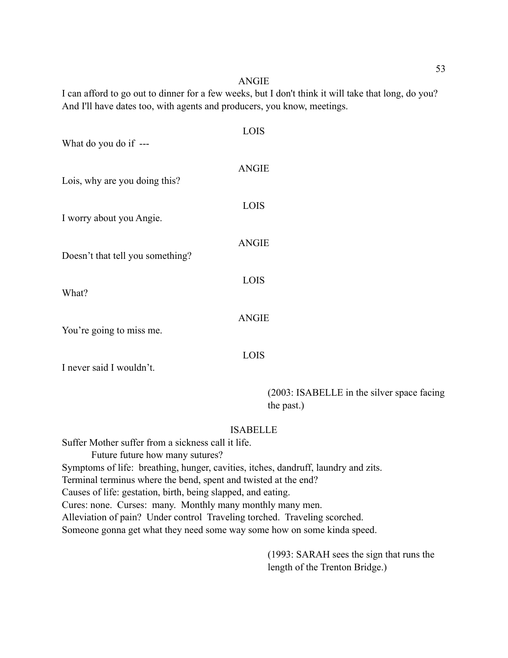#### ANGIE

I can afford to go out to dinner for a few weeks, but I don't think it will take that long, do you? And I'll have dates too, with agents and producers, you know, meetings.

| What do you do if ---            | <b>LOIS</b>  |
|----------------------------------|--------------|
| Lois, why are you doing this?    | <b>ANGIE</b> |
| I worry about you Angie.         | <b>LOIS</b>  |
| Doesn't that tell you something? | <b>ANGIE</b> |
| What?                            | <b>LOIS</b>  |
| You're going to miss me.         | <b>ANGIE</b> |
| I never said I wouldn't.         | LOIS         |

 (2003: ISABELLE in the silver space facing the past.)

#### ISABELLE

Suffer Mother suffer from a sickness call it life. Future future how many sutures? Symptoms of life: breathing, hunger, cavities, itches, dandruff, laundry and zits. Terminal terminus where the bend, spent and twisted at the end? Causes of life: gestation, birth, being slapped, and eating. Cures: none. Curses: many. Monthly many monthly many men. Alleviation of pain? Under control Traveling torched. Traveling scorched. Someone gonna get what they need some way some how on some kinda speed.

> (1993: SARAH sees the sign that runs the length of the Trenton Bridge.)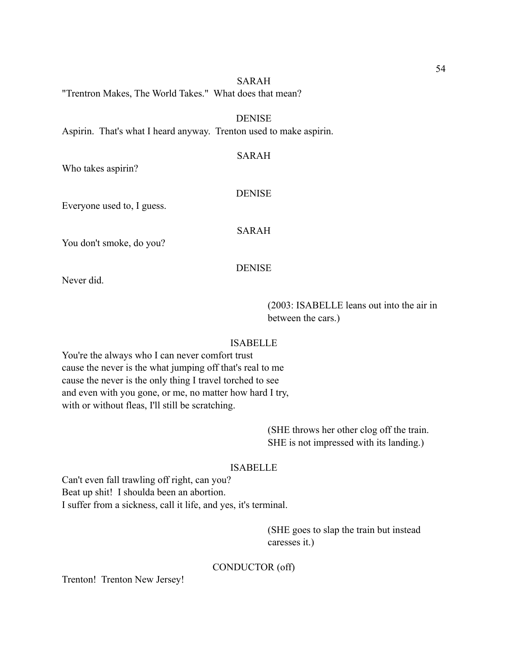#### SARAH

"Trentron Makes, The World Takes." What does that mean?

DENISE

SARAH

Aspirin. That's what I heard anyway. Trenton used to make aspirin.

Who takes aspirin?

#### DENISE

Everyone used to, I guess.

SARAH

You don't smoke, do you?

# **DENISE**

Never did.

 (2003: ISABELLE leans out into the air in between the cars.)

# ISABELLE

You're the always who I can never comfort trust cause the never is the what jumping off that's real to me cause the never is the only thing I travel torched to see and even with you gone, or me, no matter how hard I try, with or without fleas, I'll still be scratching.

> (SHE throws her other clog off the train. SHE is not impressed with its landing.)

# ISABELLE

Can't even fall trawling off right, can you? Beat up shit! I shoulda been an abortion. I suffer from a sickness, call it life, and yes, it's terminal.

> (SHE goes to slap the train but instead caresses it.)

### CONDUCTOR (off)

Trenton! Trenton New Jersey!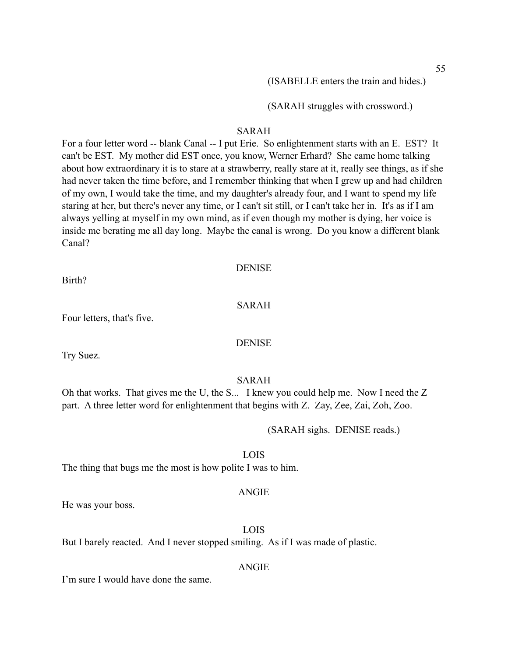(ISABELLE enters the train and hides.)

(SARAH struggles with crossword.)

#### SARAH

For a four letter word -- blank Canal -- I put Erie. So enlightenment starts with an E. EST? It can't be EST. My mother did EST once, you know, Werner Erhard? She came home talking about how extraordinary it is to stare at a strawberry, really stare at it, really see things, as if she had never taken the time before, and I remember thinking that when I grew up and had children of my own, I would take the time, and my daughter's already four, and I want to spend my life staring at her, but there's never any time, or I can't sit still, or I can't take her in. It's as if I am always yelling at myself in my own mind, as if even though my mother is dying, her voice is inside me berating me all day long. Maybe the canal is wrong. Do you know a different blank Canal?

#### DENISE

Birth?

#### SARAH

Four letters, that's five.

Try Suez.

#### SARAH

Oh that works. That gives me the U, the S... I knew you could help me. Now I need the Z part. A three letter word for enlightenment that begins with Z. Zay, Zee, Zai, Zoh, Zoo.

(SARAH sighs. DENISE reads.)

#### LOIS

The thing that bugs me the most is how polite I was to him.

#### ANGIE

He was your boss.

#### LOIS

But I barely reacted. And I never stopped smiling. As if I was made of plastic.

### ANGIE

I'm sure I would have done the same.

DENISE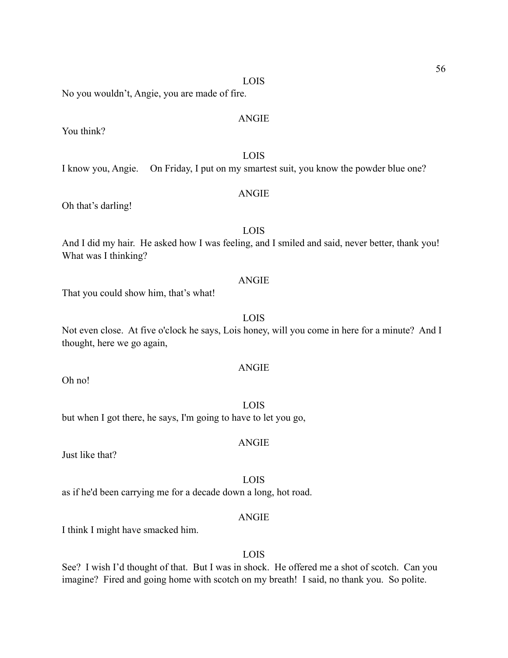LOIS

No you wouldn't, Angie, you are made of fire.

You think?

LOIS I know you, Angie. On Friday, I put on my smartest suit, you know the powder blue one?

# ANGIE

Oh that's darling!

# LOIS

And I did my hair. He asked how I was feeling, and I smiled and said, never better, thank you! What was I thinking?

# ANGIE

That you could show him, that's what!

# LOIS

Not even close. At five o'clock he says, Lois honey, will you come in here for a minute? And I thought, here we go again,

# ANGIE

Oh no!

# LOIS

ANGIE

but when I got there, he says, I'm going to have to let you go,

Just like that?

LOIS

as if he'd been carrying me for a decade down a long, hot road.

#### ANGIE

I think I might have smacked him.

# LOIS

See? I wish I'd thought of that. But I was in shock. He offered me a shot of scotch. Can you imagine? Fired and going home with scotch on my breath! I said, no thank you. So polite.

ANGIE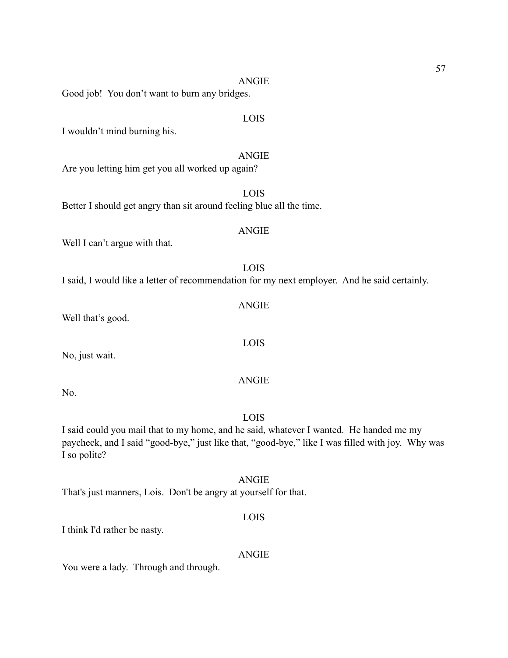ANGIE Good job! You don't want to burn any bridges.

I wouldn't mind burning his.

ANGIE

Are you letting him get you all worked up again?

Better I should get angry than sit around feeling blue all the time.

Well I can't argue with that.

I said, I would like a letter of recommendation for my next employer. And he said certainly.

Well that's good.

No, just wait.

No.

LOIS

I said could you mail that to my home, and he said, whatever I wanted. He handed me my paycheck, and I said "good-bye," just like that, "good-bye," like I was filled with joy. Why was I so polite?

ANGIE

That's just manners, Lois. Don't be angry at yourself for that.

LOIS

I think I'd rather be nasty.

ANGIE

You were a lady. Through and through.

LOIS

# ANGIE

LOIS

LOIS

# LOIS

ANGIE

# ANGIE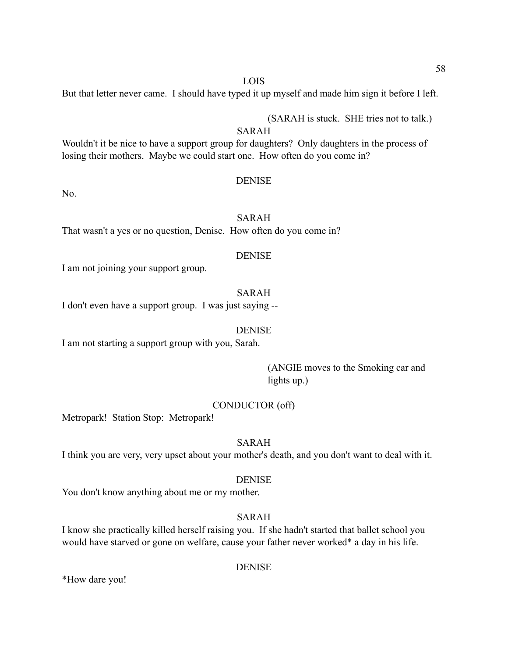#### LOIS

But that letter never came. I should have typed it up myself and made him sign it before I left.

(SARAH is stuck. SHE tries not to talk.)

# SARAH

Wouldn't it be nice to have a support group for daughters? Only daughters in the process of losing their mothers. Maybe we could start one. How often do you come in?

#### DENISE

No.

# SARAH

That wasn't a yes or no question, Denise. How often do you come in?

#### **DENISE**

I am not joining your support group.

# SARAH

I don't even have a support group. I was just saying --

#### DENISE

I am not starting a support group with you, Sarah.

 (ANGIE moves to the Smoking car and lights up.)

#### CONDUCTOR (off)

Metropark! Station Stop: Metropark!

# SARAH

I think you are very, very upset about your mother's death, and you don't want to deal with it.

# DENISE

You don't know anything about me or my mother.

# SARAH

I know she practically killed herself raising you. If she hadn't started that ballet school you would have starved or gone on welfare, cause your father never worked\* a day in his life.

# DENISE

\*How dare you!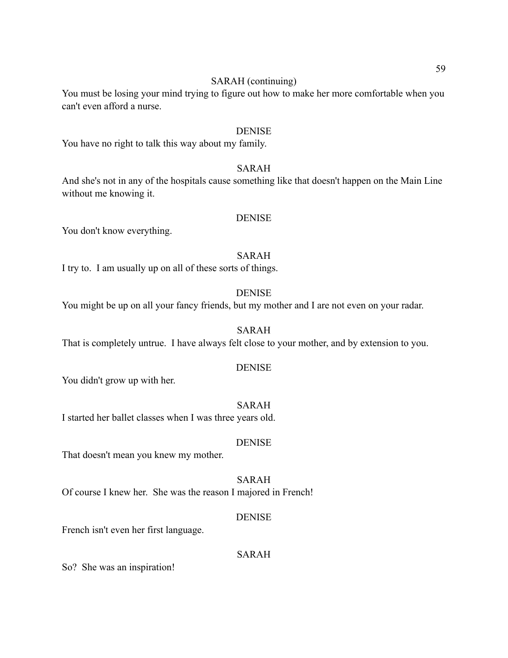# SARAH (continuing)

You must be losing your mind trying to figure out how to make her more comfortable when you can't even afford a nurse.

#### DENISE

You have no right to talk this way about my family.

# SARAH

And she's not in any of the hospitals cause something like that doesn't happen on the Main Line without me knowing it.

#### DENISE

You don't know everything.

#### SARAH

I try to. I am usually up on all of these sorts of things.

# DENISE

You might be up on all your fancy friends, but my mother and I are not even on your radar.

#### SARAH

That is completely untrue. I have always felt close to your mother, and by extension to you.

#### **DENISE**

You didn't grow up with her.

# SARAH

I started her ballet classes when I was three years old.

#### DENISE

That doesn't mean you knew my mother.

# SARAH

Of course I knew her. She was the reason I majored in French!

#### **DENISE**

French isn't even her first language.

#### SARAH

So? She was an inspiration!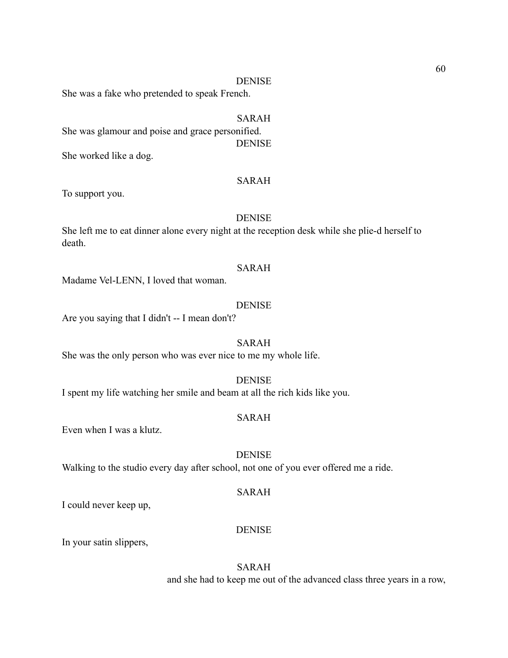She was a fake who pretended to speak French.

# SARAH

She was glamour and poise and grace personified. DENISE

She worked like a dog.

# SARAH

To support you.

### DENISE

She left me to eat dinner alone every night at the reception desk while she plie-d herself to death.

#### SARAH

Madame Vel-LENN, I loved that woman.

#### DENISE

Are you saying that I didn't -- I mean don't?

# SARAH

She was the only person who was ever nice to me my whole life.

#### **DENISE**

I spent my life watching her smile and beam at all the rich kids like you.

# SARAH

Even when I was a klutz.

## **DENISE**

Walking to the studio every day after school, not one of you ever offered me a ride.

#### SARAH

I could never keep up,

#### DENISE

In your satin slippers,

SARAH and she had to keep me out of the advanced class three years in a row,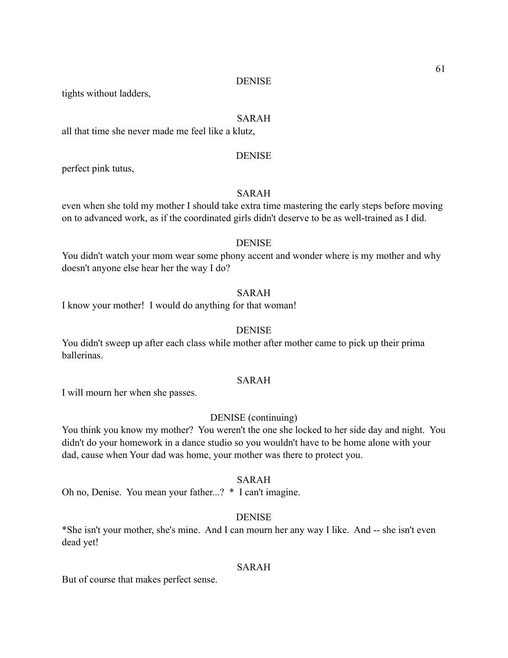tights without ladders,

### SARAH

all that time she never made me feel like a klutz,

#### DENISE

perfect pink tutus,

# SARAH

even when she told my mother I should take extra time mastering the early steps before moving on to advanced work, as if the coordinated girls didn't deserve to be as well-trained as I did.

#### DENISE

You didn't watch your mom wear some phony accent and wonder where is my mother and why doesn't anyone else hear her the way I do?

# SARAH

I know your mother! I would do anything for that woman!

### DENISE

You didn't sweep up after each class while mother after mother came to pick up their prima ballerinas.

# SARAH

I will mourn her when she passes.

# DENISE (continuing)

You think you know my mother? You weren't the one she locked to her side day and night. You didn't do your homework in a dance studio so you wouldn't have to be home alone with your dad, cause when Your dad was home, your mother was there to protect you.

# SARAH

Oh no, Denise. You mean your father...? \* I can't imagine.

# DENISE

\*She isn't your mother, she's mine. And I can mourn her any way I like. And -- she isn't even dead yet!

# SARAH

But of course that makes perfect sense.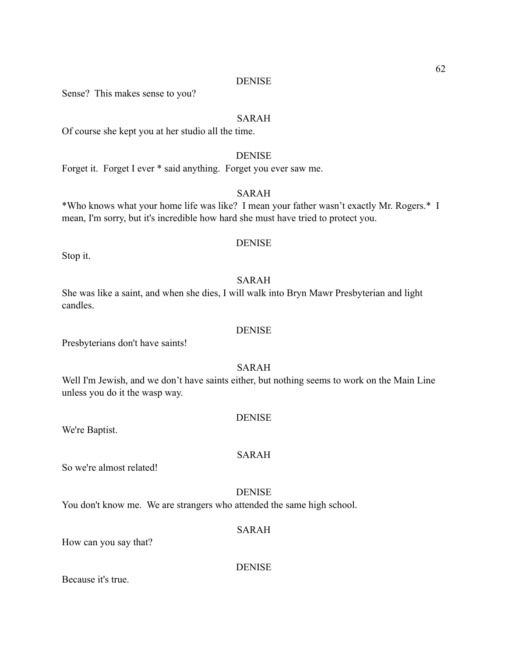Sense? This makes sense to you?

#### SARAH

Of course she kept you at her studio all the time.

# **DENISE**

Forget it. Forget I ever \* said anything. Forget you ever saw me.

# SARAH

\*Who knows what your home life was like? I mean your father wasn't exactly Mr. Rogers.\* I mean, I'm sorry, but it's incredible how hard she must have tried to protect you.

### **DENISE**

Stop it.

# SARAH

She was like a saint, and when she dies, I will walk into Bryn Mawr Presbyterian and light candles.

#### DENISE

Presbyterians don't have saints!

#### SARAH

Well I'm Jewish, and we don't have saints either, but nothing seems to work on the Main Line unless you do it the wasp way.

#### DENISE

#### SARAH

So we're almost related!

We're Baptist.

# **DENISE**

You don't know me. We are strangers who attended the same high school.

#### SARAH

How can you say that?

DENISE

Because it's true.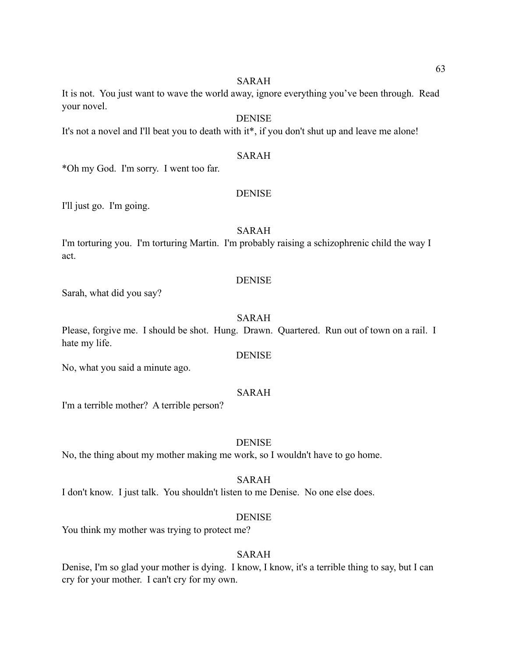#### SARAH

It is not. You just want to wave the world away, ignore everything you've been through. Read your novel.

DENISE

It's not a novel and I'll beat you to death with it<sup>\*</sup>, if you don't shut up and leave me alone!

# SARAH

\*Oh my God. I'm sorry. I went too far.

# **DENISE**

I'll just go. I'm going.

# SARAH

I'm torturing you. I'm torturing Martin. I'm probably raising a schizophrenic child the way I act.

# **DENISE**

Sarah, what did you say?

# SARAH

Please, forgive me. I should be shot. Hung. Drawn. Quartered. Run out of town on a rail. I hate my life.

DENISE

No, what you said a minute ago.

# SARAH

I'm a terrible mother? A terrible person?

# DENISE

No, the thing about my mother making me work, so I wouldn't have to go home.

SARAH

I don't know. I just talk. You shouldn't listen to me Denise. No one else does.

# DENISE

You think my mother was trying to protect me?

# SARAH

Denise, I'm so glad your mother is dying. I know, I know, it's a terrible thing to say, but I can cry for your mother. I can't cry for my own.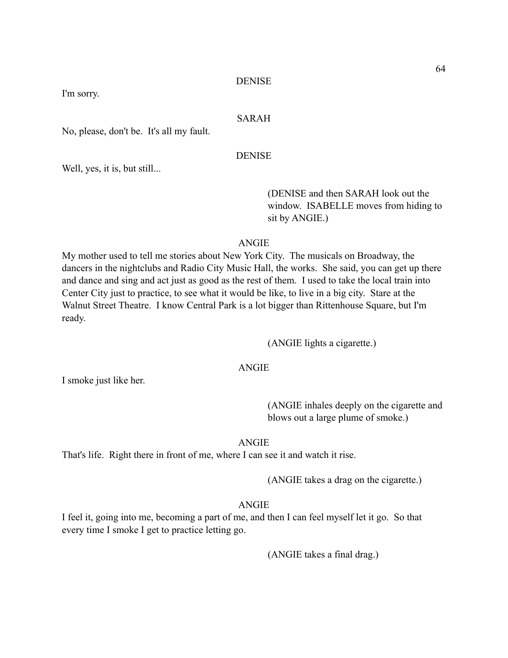I'm sorry.

### SARAH

No, please, don't be. It's all my fault.

DENISE

Well, yes, it is, but still...

 (DENISE and then SARAH look out the window. ISABELLE moves from hiding to sit by ANGIE.)

# ANGIE

My mother used to tell me stories about New York City. The musicals on Broadway, the dancers in the nightclubs and Radio City Music Hall, the works. She said, you can get up there and dance and sing and act just as good as the rest of them. I used to take the local train into Center City just to practice, to see what it would be like, to live in a big city. Stare at the Walnut Street Theatre. I know Central Park is a lot bigger than Rittenhouse Square, but I'm ready.

(ANGIE lights a cigarette.)

# ANGIE

I smoke just like her.

 (ANGIE inhales deeply on the cigarette and blows out a large plume of smoke.)

#### ANGIE

That's life. Right there in front of me, where I can see it and watch it rise.

(ANGIE takes a drag on the cigarette.)

#### ANGIE

I feel it, going into me, becoming a part of me, and then I can feel myself let it go. So that every time I smoke I get to practice letting go.

(ANGIE takes a final drag.)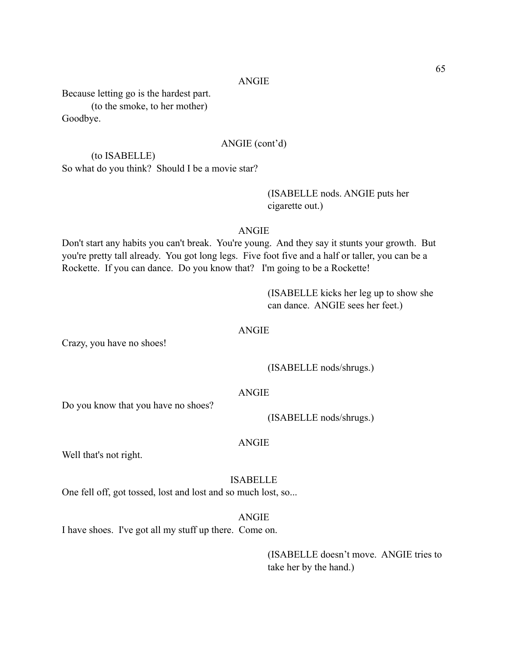Because letting go is the hardest part. (to the smoke, to her mother) Goodbye.

## ANGIE (cont'd)

 (to ISABELLE) So what do you think? Should I be a movie star?

# (ISABELLE nods. ANGIE puts her cigarette out.)

#### ANGIE

Don't start any habits you can't break. You're young. And they say it stunts your growth. But you're pretty tall already. You got long legs. Five foot five and a half or taller, you can be a Rockette. If you can dance. Do you know that? I'm going to be a Rockette!

> (ISABELLE kicks her leg up to show she can dance. ANGIE sees her feet.)

# ANGIE

Crazy, you have no shoes!

(ISABELLE nods/shrugs.)

#### ANGIE

Do you know that you have no shoes?

(ISABELLE nods/shrugs.)

#### ANGIE

Well that's not right.

# ISABELLE

ANGIE

One fell off, got tossed, lost and lost and so much lost, so...

I have shoes. I've got all my stuff up there. Come on.

 (ISABELLE doesn't move. ANGIE tries to take her by the hand.)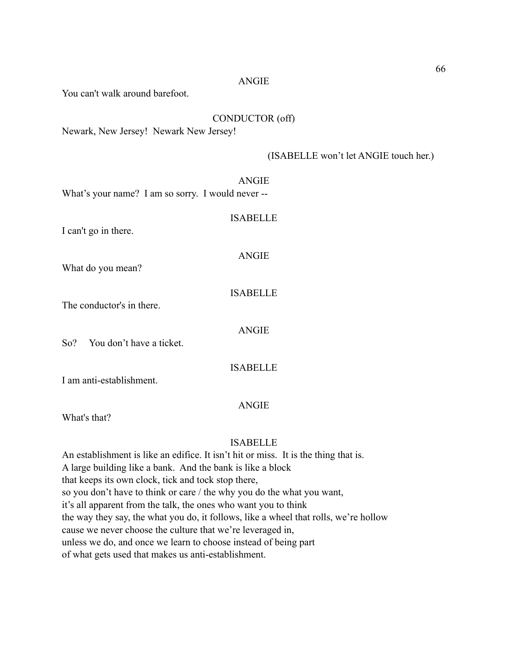You can't walk around barefoot.

# CONDUCTOR (off)

Newark, New Jersey! Newark New Jersey!

# (ISABELLE won't let ANGIE touch her.)

|                                                   | <b>ANGIE</b> |
|---------------------------------------------------|--------------|
| What's your name? I am so sorry. I would never -- |              |

I can't go in there.

# ANGIE

ISABELLE

What do you mean?

# ISABELLE

ANGIE

The conductor's in there.

So? You don't have a ticket.

ISABELLE

I am anti-establishment.

# ANGIE

What's that?

# ISABELLE

An establishment is like an edifice. It isn't hit or miss. It is the thing that is. A large building like a bank. And the bank is like a block that keeps its own clock, tick and tock stop there, so you don't have to think or care / the why you do the what you want, it's all apparent from the talk, the ones who want you to think the way they say, the what you do, it follows, like a wheel that rolls, we're hollow cause we never choose the culture that we're leveraged in, unless we do, and once we learn to choose instead of being part of what gets used that makes us anti-establishment.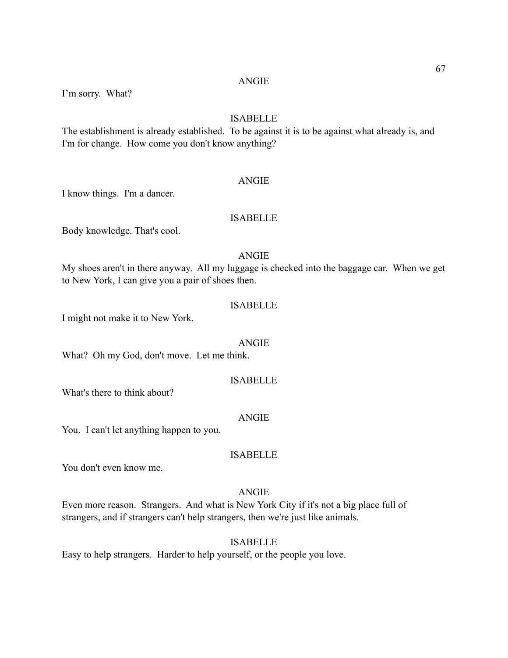#### ANGIE

I'm sorry. What?

# ISABELLE

The establishment is already established. To be against it is to be against what already is, and I'm for change. How come you don't know anything?

### ANGIE

I know things. I'm a dancer.

# ISABELLE

Body knowledge. That's cool.

# ANGIE

My shoes aren't in there anyway. All my luggage is checked into the baggage car. When we get to New York, I can give you a pair of shoes then.

#### ISABELLE

I might not make it to New York.

#### ANGIE

What? Oh my God, don't move. Let me think.

#### ISABELLE

What's there to think about?

#### ANGIE

You. I can't let anything happen to you.

#### ISABELLE

You don't even know me.

#### ANGIE

Even more reason. Strangers. And what is New York City if it's not a big place full of strangers, and if strangers can't help strangers, then we're just like animals.

#### ISABELLE

Easy to help strangers. Harder to help yourself, or the people you love.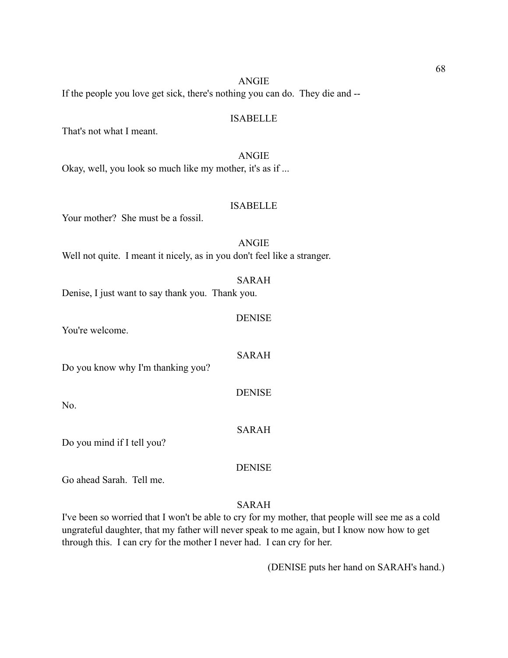#### ANGIE

If the people you love get sick, there's nothing you can do. They die and --

#### ISABELLE

That's not what I meant.

ANGIE Okay, well, you look so much like my mother, it's as if ...

# ISABELLE

DENISE

SARAH

**DENISE** 

SARAH

**DENISE** 

Your mother? She must be a fossil.

# ANGIE Well not quite. I meant it nicely, as in you don't feel like a stranger. SARAH

Denise, I just want to say thank you. Thank you.

You're welcome.

Do you know why I'm thanking you?

No.

Do you mind if I tell you?

Go ahead Sarah. Tell me.

### SARAH

I've been so worried that I won't be able to cry for my mother, that people will see me as a cold ungrateful daughter, that my father will never speak to me again, but I know now how to get through this. I can cry for the mother I never had. I can cry for her.

(DENISE puts her hand on SARAH's hand.)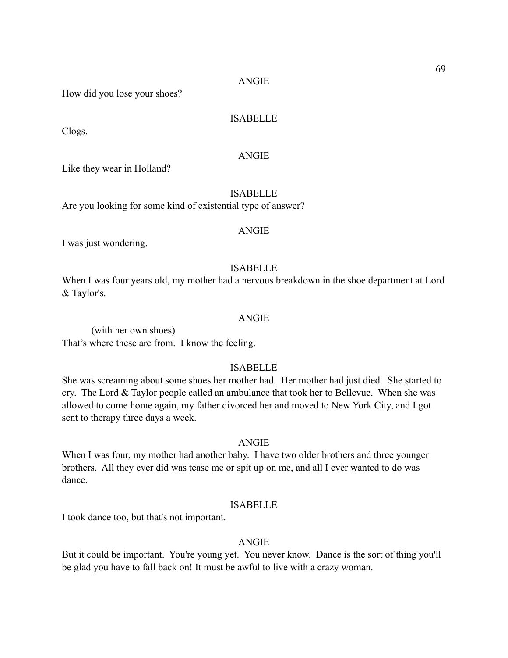How did you lose your shoes?

# ISABELLE

Clogs.

# ANGIE

Like they wear in Holland?

# ISABELLE

Are you looking for some kind of existential type of answer?

# ANGIE

I was just wondering.

# ISABELLE

When I was four years old, my mother had a nervous breakdown in the shoe department at Lord & Taylor's.

# ANGIE

 (with her own shoes) That's where these are from. I know the feeling.

# ISABELLE

She was screaming about some shoes her mother had. Her mother had just died. She started to cry. The Lord & Taylor people called an ambulance that took her to Bellevue. When she was allowed to come home again, my father divorced her and moved to New York City, and I got sent to therapy three days a week.

# ANGIE

When I was four, my mother had another baby. I have two older brothers and three younger brothers. All they ever did was tease me or spit up on me, and all I ever wanted to do was dance.

#### ISABELLE

I took dance too, but that's not important.

# ANGIE

But it could be important. You're young yet. You never know. Dance is the sort of thing you'll be glad you have to fall back on! It must be awful to live with a crazy woman.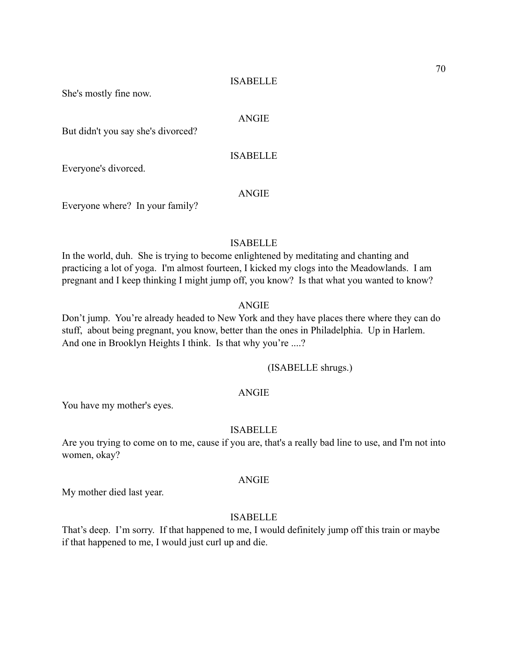She's mostly fine now.

### ANGIE

But didn't you say she's divorced?

# ISABELLE

Everyone's divorced.

# ANGIE

Everyone where? In your family?

# ISABELLE

In the world, duh. She is trying to become enlightened by meditating and chanting and practicing a lot of yoga. I'm almost fourteen, I kicked my clogs into the Meadowlands. I am pregnant and I keep thinking I might jump off, you know? Is that what you wanted to know?

## ANGIE

Don't jump. You're already headed to New York and they have places there where they can do stuff, about being pregnant, you know, better than the ones in Philadelphia. Up in Harlem. And one in Brooklyn Heights I think. Is that why you're ....?

(ISABELLE shrugs.)

#### ANGIE

You have my mother's eyes.

#### ISABELLE

Are you trying to come on to me, cause if you are, that's a really bad line to use, and I'm not into women, okay?

# ANGIE

My mother died last year.

# ISABELLE

That's deep. I'm sorry. If that happened to me, I would definitely jump off this train or maybe if that happened to me, I would just curl up and die.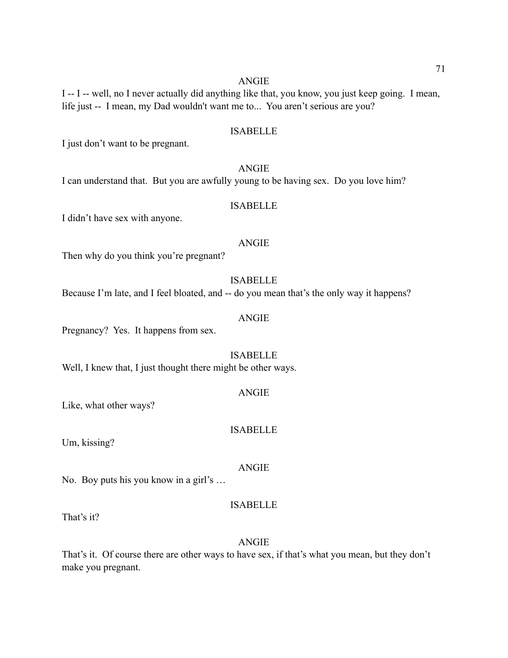I -- I -- well, no I never actually did anything like that, you know, you just keep going. I mean, life just -- I mean, my Dad wouldn't want me to... You aren't serious are you?

#### ISABELLE

I just don't want to be pregnant.

## ANGIE

I can understand that. But you are awfully young to be having sex. Do you love him?

## ISABELLE

I didn't have sex with anyone.

#### ANGIE

Then why do you think you're pregnant?

ISABELLE

Because I'm late, and I feel bloated, and -- do you mean that's the only way it happens?

#### ANGIE

Pregnancy? Yes. It happens from sex.

## ISABELLE

Well, I knew that, I just thought there might be other ways.

Like, what other ways?

## ISABELLE

Um, kissing?

#### ANGIE

No. Boy puts his you know in a girl's …

## ISABELLE

That's it?

#### ANGIE

That's it. Of course there are other ways to have sex, if that's what you mean, but they don't make you pregnant.

#### ANGIE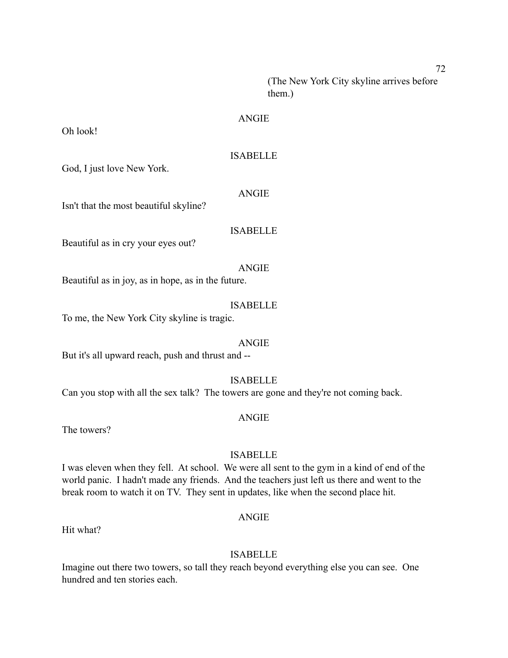(The New York City skyline arrives before them.)

### ANGIE

Oh look!

## ISABELLE

God, I just love New York.

#### ANGIE

Isn't that the most beautiful skyline?

## ISABELLE

Beautiful as in cry your eyes out?

#### ANGIE

Beautiful as in joy, as in hope, as in the future.

#### ISABELLE

To me, the New York City skyline is tragic.

#### ANGIE

But it's all upward reach, push and thrust and --

## ISABELLE

Can you stop with all the sex talk? The towers are gone and they're not coming back.

#### ANGIE

The towers?

## ISABELLE

I was eleven when they fell. At school. We were all sent to the gym in a kind of end of the world panic. I hadn't made any friends. And the teachers just left us there and went to the break room to watch it on TV. They sent in updates, like when the second place hit.

## ANGIE

Hit what?

## ISABELLE

Imagine out there two towers, so tall they reach beyond everything else you can see. One hundred and ten stories each.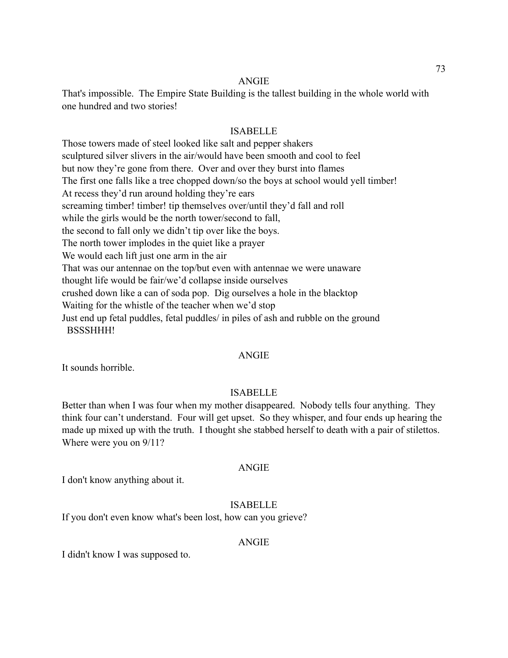That's impossible. The Empire State Building is the tallest building in the whole world with one hundred and two stories!

#### ISABELLE

Those towers made of steel looked like salt and pepper shakers sculptured silver slivers in the air/would have been smooth and cool to feel but now they're gone from there. Over and over they burst into flames The first one falls like a tree chopped down/so the boys at school would yell timber! At recess they'd run around holding they're ears screaming timber! timber! tip themselves over/until they'd fall and roll while the girls would be the north tower/second to fall, the second to fall only we didn't tip over like the boys. The north tower implodes in the quiet like a prayer We would each lift just one arm in the air That was our antennae on the top/but even with antennae we were unaware thought life would be fair/we'd collapse inside ourselves crushed down like a can of soda pop. Dig ourselves a hole in the blacktop Waiting for the whistle of the teacher when we'd stop Just end up fetal puddles, fetal puddles/ in piles of ash and rubble on the ground BSSSHHH!

#### ANGIE

It sounds horrible.

## ISABELLE

Better than when I was four when my mother disappeared. Nobody tells four anything. They think four can't understand. Four will get upset. So they whisper, and four ends up hearing the made up mixed up with the truth. I thought she stabbed herself to death with a pair of stilettos. Where were you on 9/11?

#### ANGIE

I don't know anything about it.

## ISABELLE

If you don't even know what's been lost, how can you grieve?

#### ANGIE

I didn't know I was supposed to.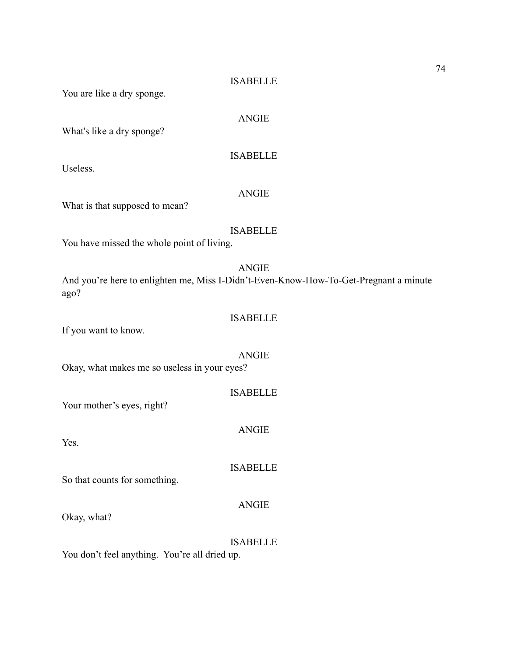#### ISABELLE

You are like a dry sponge.

## ANGIE

ISABELLE

What's like a dry sponge?

Useless.

## ANGIE

What is that supposed to mean?

## ISABELLE

You have missed the whole point of living.

## ANGIE

And you're here to enlighten me, Miss I-Didn't-Even-Know-How-To-Get-Pregnant a minute ago?

## ISABELLE

If you want to know.

ANGIE Okay, what makes me so useless in your eyes?

ISABELLE

ANGIE

ISABELLE

Your mother's eyes, right?

Yes.

So that counts for something.

Okay, what?

#### ISABELLE

ANGIE

You don't feel anything. You're all dried up.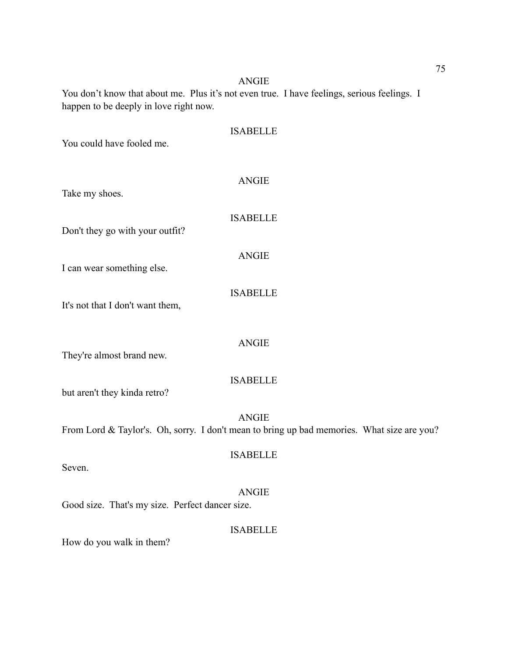You don't know that about me. Plus it's not even true. I have feelings, serious feelings. I happen to be deeply in love right now.

| You could have fooled me.                                                    | <b>ISABELLE</b> |
|------------------------------------------------------------------------------|-----------------|
| Take my shoes.                                                               | <b>ANGIE</b>    |
| Don't they go with your outfit?                                              | <b>ISABELLE</b> |
| I can wear something else.                                                   | <b>ANGIE</b>    |
| It's not that I don't want them,                                             | <b>ISABELLE</b> |
| They're almost brand new.                                                    | <b>ANGIE</b>    |
| but aren't they kinda retro?                                                 | <b>ISABELLE</b> |
| From Lord & Taylor's. Oh, sorry. I don't mean to bring up bad memories. What | <b>ANGIE</b>    |
| Seven.                                                                       | <b>ISABELLE</b> |
| Good size. That's my size. Perfect dancer size.                              | ANGIE           |
| How do you walk in them?                                                     | <b>ISABELLE</b> |

size are you?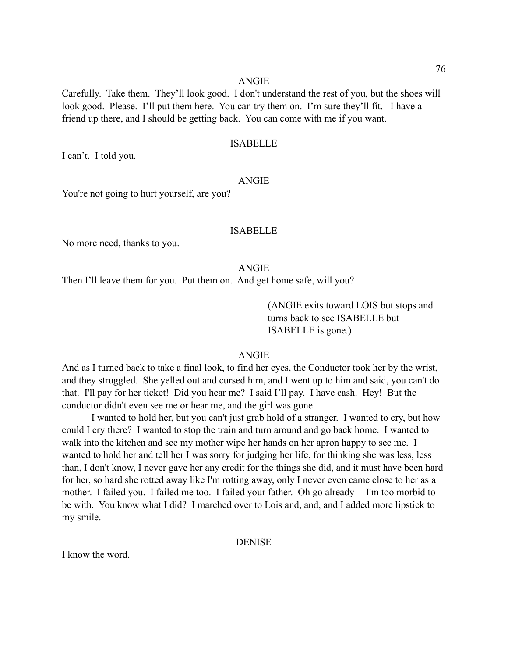Carefully. Take them. They'll look good. I don't understand the rest of you, but the shoes will look good. Please. I'll put them here. You can try them on. I'm sure they'll fit. I have a friend up there, and I should be getting back. You can come with me if you want.

## ISABELLE

I can't. I told you.

## ANGIE

You're not going to hurt yourself, are you?

## ISABELLE

No more need, thanks to you.

#### ANGIE

Then I'll leave them for you. Put them on. And get home safe, will you?

 (ANGIE exits toward LOIS but stops and turns back to see ISABELLE but ISABELLE is gone.)

#### ANGIE

And as I turned back to take a final look, to find her eyes, the Conductor took her by the wrist, and they struggled. She yelled out and cursed him, and I went up to him and said, you can't do that. I'll pay for her ticket! Did you hear me? I said I'll pay. I have cash. Hey! But the conductor didn't even see me or hear me, and the girl was gone.

 I wanted to hold her, but you can't just grab hold of a stranger. I wanted to cry, but how could I cry there? I wanted to stop the train and turn around and go back home. I wanted to walk into the kitchen and see my mother wipe her hands on her apron happy to see me. I wanted to hold her and tell her I was sorry for judging her life, for thinking she was less, less than, I don't know, I never gave her any credit for the things she did, and it must have been hard for her, so hard she rotted away like I'm rotting away, only I never even came close to her as a mother. I failed you. I failed me too. I failed your father. Oh go already -- I'm too morbid to be with. You know what I did? I marched over to Lois and, and, and I added more lipstick to my smile.

#### DENISE

I know the word.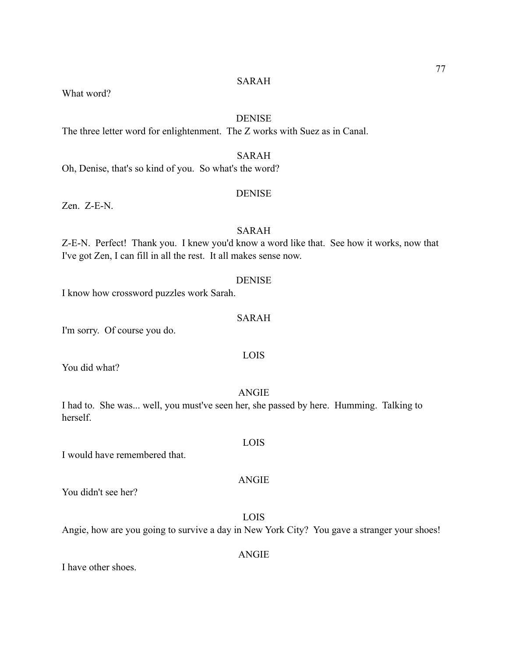What word?

## **DENISE**

The three letter word for enlightenment. The Z works with Suez as in Canal.

## SARAH

Oh, Denise, that's so kind of you. So what's the word?

## **DENISE**

Zen. Z-E-N.

## SARAH

Z-E-N. Perfect! Thank you. I knew you'd know a word like that. See how it works, now that I've got Zen, I can fill in all the rest. It all makes sense now.

### DENISE

I know how crossword puzzles work Sarah.

## SARAH

I'm sorry. Of course you do.

LOIS

You did what?

ANGIE

I had to. She was... well, you must've seen her, she passed by here. Humming. Talking to herself.

I would have remembered that.

You didn't see her?

# Angie, how are you going to survive a day in New York City? You gave a stranger your shoes!

I have other shoes.

ANGIE

LOIS

# LOIS

# ANGIE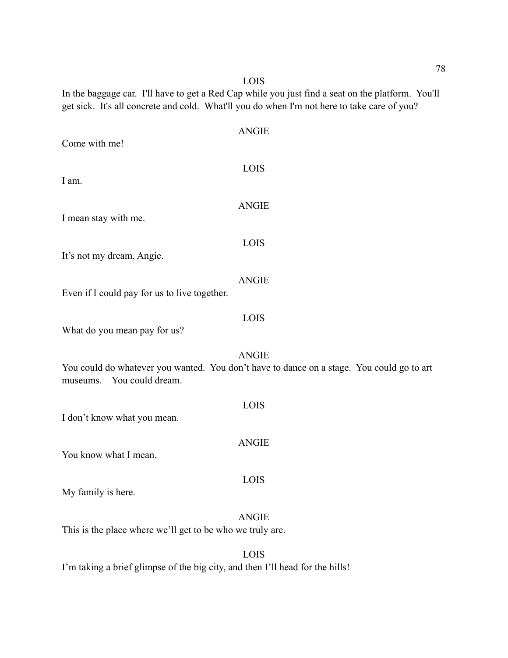LOIS

In the baggage car. I'll have to get a Red Cap while you just find a seat on the platform. You'll get sick. It's all concrete and cold. What'll you do when I'm not here to take care of you?

| Come with me!                                                                                         | <b>ANGIE</b> |
|-------------------------------------------------------------------------------------------------------|--------------|
| I am.                                                                                                 | LOIS         |
| I mean stay with me.                                                                                  | <b>ANGIE</b> |
| It's not my dream, Angie.                                                                             | LOIS         |
| Even if I could pay for us to live together.                                                          | <b>ANGIE</b> |
|                                                                                                       | LOIS         |
| What do you mean pay for us?<br>You could do whatever you wanted. You don't have to dance on a stage. | <b>ANGIE</b> |
| museums. You could dream.<br>I don't know what you mean.                                              | LOIS         |
| You know what I mean.                                                                                 | <b>ANGIE</b> |
| My family is here.                                                                                    | LOIS         |
| This is the place where we'll get to be who we truly are.                                             | <b>ANGIE</b> |
|                                                                                                       |              |

LOIS I'm taking a brief glimpse of the big city, and then I'll head for the hills!

You could go to art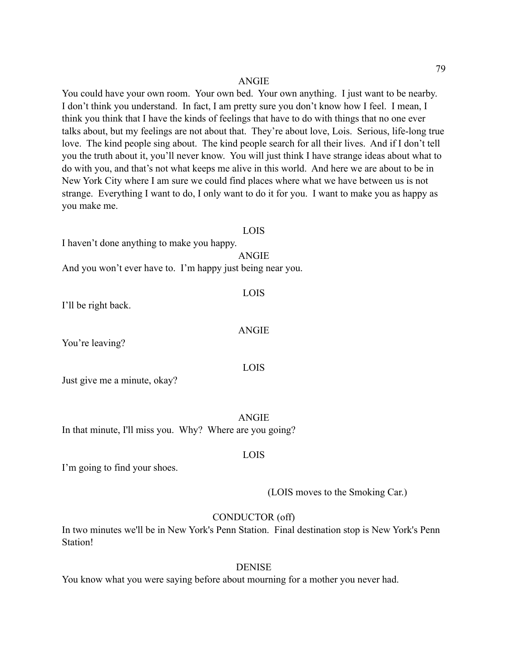You could have your own room. Your own bed. Your own anything. I just want to be nearby. I don't think you understand. In fact, I am pretty sure you don't know how I feel. I mean, I think you think that I have the kinds of feelings that have to do with things that no one ever talks about, but my feelings are not about that. They're about love, Lois. Serious, life-long true love. The kind people sing about. The kind people search for all their lives. And if I don't tell you the truth about it, you'll never know. You will just think I have strange ideas about what to do with you, and that's not what keeps me alive in this world. And here we are about to be in New York City where I am sure we could find places where what we have between us is not strange. Everything I want to do, I only want to do it for you. I want to make you as happy as you make me.

#### LOIS

I haven't done anything to make you happy.

ANGIE

LOIS

ANGIE

LOIS

And you won't ever have to. I'm happy just being near you.

I'll be right back.

You're leaving?

Just give me a minute, okay?

ANGIE In that minute, I'll miss you. Why? Where are you going?

LOIS

I'm going to find your shoes.

(LOIS moves to the Smoking Car.)

#### CONDUCTOR (off)

In two minutes we'll be in New York's Penn Station. Final destination stop is New York's Penn Station!

#### **DENISE**

You know what you were saying before about mourning for a mother you never had.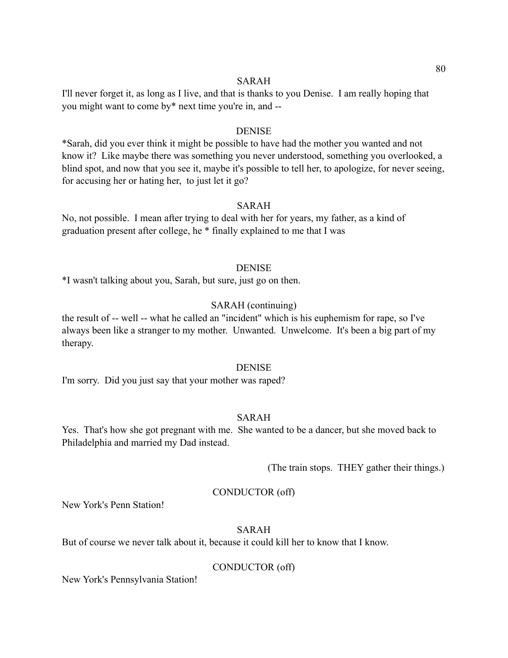I'll never forget it, as long as I live, and that is thanks to you Denise. I am really hoping that you might want to come by\* next time you're in, and --

#### **DENISE**

\*Sarah, did you ever think it might be possible to have had the mother you wanted and not know it? Like maybe there was something you never understood, something you overlooked, a blind spot, and now that you see it, maybe it's possible to tell her, to apologize, for never seeing, for accusing her or hating her, to just let it go?

## SARAH

No, not possible. I mean after trying to deal with her for years, my father, as a kind of graduation present after college, he \* finally explained to me that I was

#### DENISE

\*I wasn't talking about you, Sarah, but sure, just go on then.

## SARAH (continuing)

the result of -- well -- what he called an "incident" which is his euphemism for rape, so I've always been like a stranger to my mother. Unwanted. Unwelcome. It's been a big part of my therapy.

#### DENISE

I'm sorry. Did you just say that your mother was raped?

## SARAH

Yes. That's how she got pregnant with me. She wanted to be a dancer, but she moved back to Philadelphia and married my Dad instead.

(The train stops. THEY gather their things.)

## CONDUCTOR (off)

New York's Penn Station!

#### SARAH

But of course we never talk about it, because it could kill her to know that I know.

#### CONDUCTOR (off)

New York's Pennsylvania Station!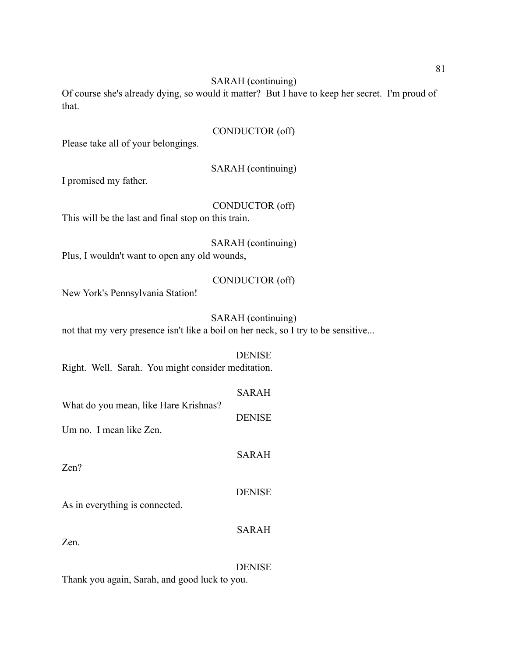Of course she's already dying, so would it matter? But I have to keep her secret. I'm proud of that.

## CONDUCTOR (off)

Please take all of your belongings.

SARAH (continuing)

I promised my father.

## CONDUCTOR (off)

This will be the last and final stop on this train.

SARAH (continuing)

Plus, I wouldn't want to open any old wounds,

## CONDUCTOR (off)

New York's Pennsylvania Station!

## SARAH (continuing)

not that my very presence isn't like a boil on her neck, so I try to be sensitive...

## DENISE

Right. Well. Sarah. You might consider meditation.

## SARAH

DENISE

SARAH

What do you mean, like Hare Krishnas?

Um no. I mean like Zen.

Zen?

## **DENISE**

SARAH

As in everything is connected.

Zen.

## DENISE

Thank you again, Sarah, and good luck to you.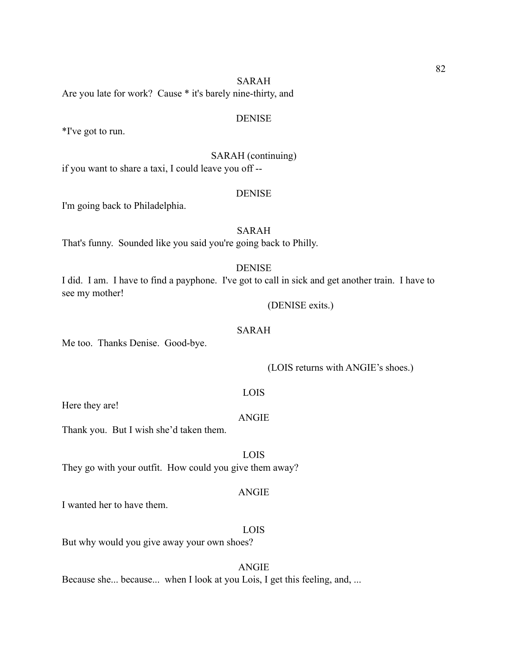Are you late for work? Cause \* it's barely nine-thirty, and

#### **DENISE**

\*I've got to run.

SARAH (continuing)

if you want to share a taxi, I could leave you off --

## **DENISE**

I'm going back to Philadelphia.

## SARAH

That's funny. Sounded like you said you're going back to Philly.

#### DENISE

I did. I am. I have to find a payphone. I've got to call in sick and get another train. I have to see my mother!

(DENISE exits.)

## SARAH

Me too. Thanks Denise. Good-bye.

### (LOIS returns with ANGIE's shoes.)

#### LOIS

Here they are!

#### **ANGIE**

Thank you. But I wish she'd taken them.

LOIS They go with your outfit. How could you give them away?

#### ANGIE

I wanted her to have them.

#### LOIS

But why would you give away your own shoes?

## ANGIE

Because she... because... when I look at you Lois, I get this feeling, and, ...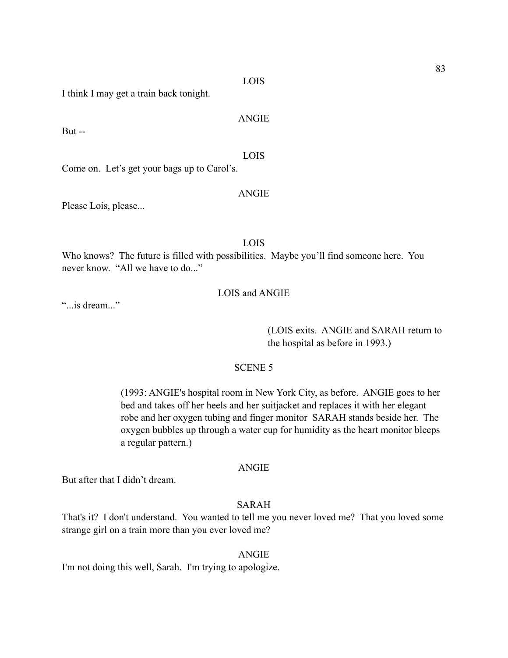LOIS

ANGIE

I think I may get a train back tonight.

But --

LOIS Come on. Let's get your bags up to Carol's.

Please Lois, please...

LOIS

ANGIE

Who knows? The future is filled with possibilities. Maybe you'll find someone here. You never know. "All we have to do..."

## LOIS and ANGIE

"...is dream..."

 (LOIS exits. ANGIE and SARAH return to the hospital as before in 1993.)

## SCENE 5

 (1993: ANGIE's hospital room in New York City, as before. ANGIE goes to her bed and takes off her heels and her suitjacket and replaces it with her elegant robe and her oxygen tubing and finger monitor SARAH stands beside her. The oxygen bubbles up through a water cup for humidity as the heart monitor bleeps a regular pattern.)

#### ANGIE

But after that I didn't dream.

## SARAH

That's it? I don't understand. You wanted to tell me you never loved me? That you loved some strange girl on a train more than you ever loved me?

#### ANGIE

I'm not doing this well, Sarah. I'm trying to apologize.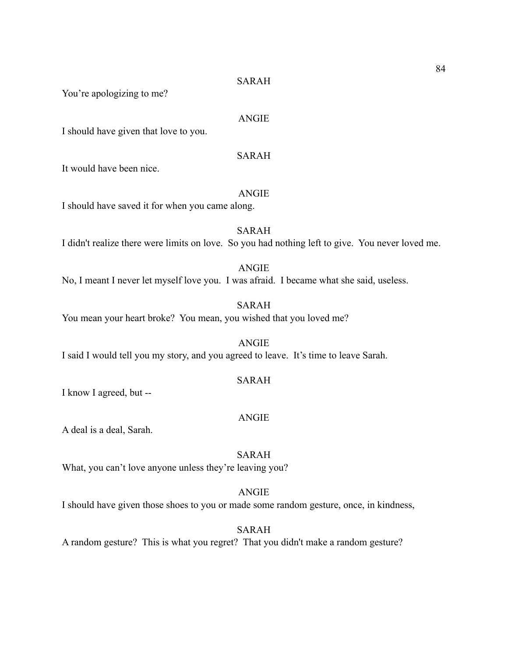You're apologizing to me?

#### ANGIE

I should have given that love to you.

## SARAH

It would have been nice.

## ANGIE

I should have saved it for when you came along.

SARAH I didn't realize there were limits on love. So you had nothing left to give. You never loved me.

## ANGIE No, I meant I never let myself love you. I was afraid. I became what she said, useless.

SARAH You mean your heart broke? You mean, you wished that you loved me?

ANGIE I said I would tell you my story, and you agreed to leave. It's time to leave Sarah.

## SARAH

I know I agreed, but --

#### ANGIE

A deal is a deal, Sarah.

## SARAH

What, you can't love anyone unless they're leaving you?

## ANGIE

I should have given those shoes to you or made some random gesture, once, in kindness,

#### SARAH

A random gesture? This is what you regret? That you didn't make a random gesture?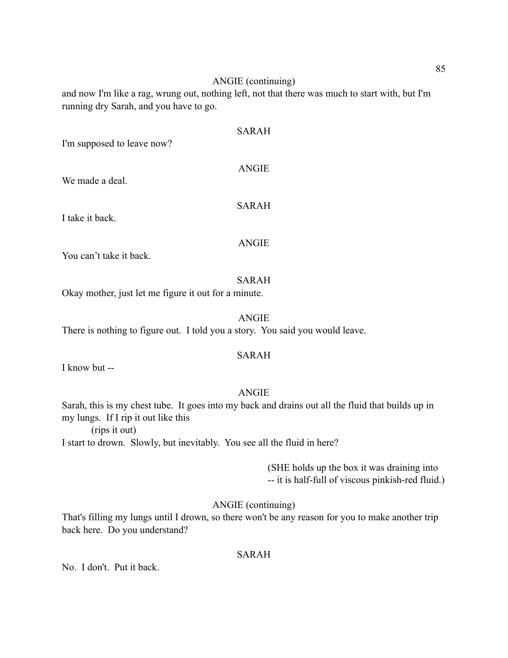### ANGIE (continuing)

and now I'm like a rag, wrung out, nothing left, not that there was much to start with, but I'm running dry Sarah, and you have to go.

| I'm supposed to leave now? | <b>SARAH</b> |
|----------------------------|--------------|
| We made a deal.            | <b>ANGIE</b> |
| I take it back.            | <b>SARAH</b> |
| You can't take it back.    | <b>ANGIE</b> |
|                            | SARAH        |

Okay mother, just let me figure it out for a minute.

## ANGIE

There is nothing to figure out. I told you a story. You said you would leave.

## SARAH

I know but --

## ANGIE

Sarah, this is my chest tube. It goes into my back and drains out all the fluid that builds up in my lungs. If I rip it out like this

(rips it out)

I start to drown. Slowly, but inevitably. You see all the fluid in here?

 (SHE holds up the box it was draining into -- it is half-full of viscous pinkish-red fluid.)

ANGIE (continuing)

That's filling my lungs until I drown, so there won't be any reason for you to make another trip back here. Do you understand?

## SARAH

No. I don't. Put it back.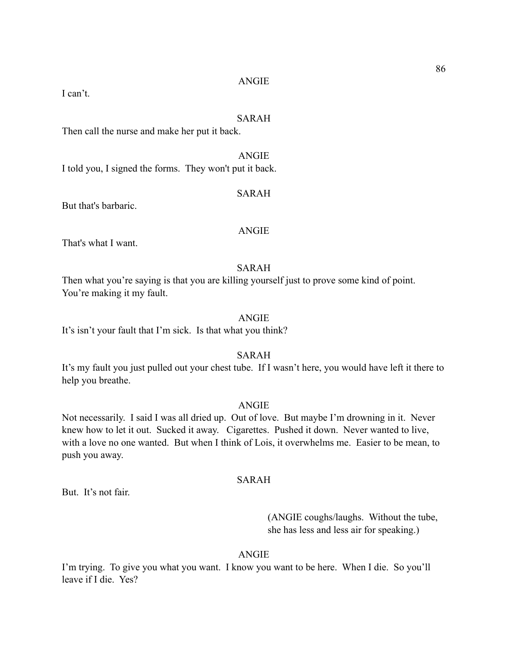I can't.

#### SARAH

Then call the nurse and make her put it back.

ANGIE

I told you, I signed the forms. They won't put it back.

## SARAH

But that's barbaric.

## ANGIE

That's what I want.

#### SARAH

Then what you're saying is that you are killing yourself just to prove some kind of point. You're making it my fault.

## **ANGIE**

It's isn't your fault that I'm sick. Is that what you think?

#### SARAH

It's my fault you just pulled out your chest tube. If I wasn't here, you would have left it there to help you breathe.

#### ANGIE

Not necessarily. I said I was all dried up. Out of love. But maybe I'm drowning in it. Never knew how to let it out. Sucked it away. Cigarettes. Pushed it down. Never wanted to live, with a love no one wanted. But when I think of Lois, it overwhelms me. Easier to be mean, to push you away.

## SARAH

But. It's not fair.

 (ANGIE coughs/laughs. Without the tube, she has less and less air for speaking.)

## ANGIE

I'm trying. To give you what you want. I know you want to be here. When I die. So you'll leave if I die. Yes?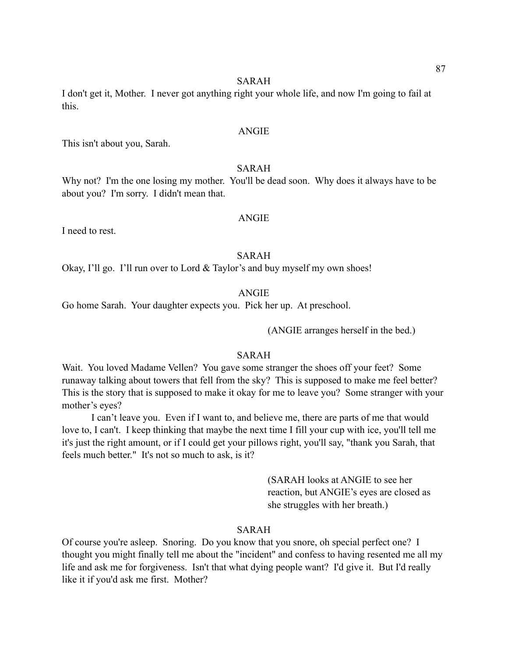I don't get it, Mother. I never got anything right your whole life, and now I'm going to fail at this.

#### ANGIE

This isn't about you, Sarah.

## SARAH

Why not? I'm the one losing my mother. You'll be dead soon. Why does it always have to be about you? I'm sorry. I didn't mean that.

#### ANGIE

I need to rest.

## SARAH

Okay, I'll go. I'll run over to Lord & Taylor's and buy myself my own shoes!

#### ANGIE

Go home Sarah. Your daughter expects you. Pick her up. At preschool.

(ANGIE arranges herself in the bed.)

#### SARAH

Wait. You loved Madame Vellen? You gave some stranger the shoes off your feet? Some runaway talking about towers that fell from the sky? This is supposed to make me feel better? This is the story that is supposed to make it okay for me to leave you? Some stranger with your mother's eyes?

 I can't leave you. Even if I want to, and believe me, there are parts of me that would love to, I can't. I keep thinking that maybe the next time I fill your cup with ice, you'll tell me it's just the right amount, or if I could get your pillows right, you'll say, "thank you Sarah, that feels much better." It's not so much to ask, is it?

> (SARAH looks at ANGIE to see her reaction, but ANGIE's eyes are closed as she struggles with her breath.)

## SARAH

Of course you're asleep. Snoring. Do you know that you snore, oh special perfect one? I thought you might finally tell me about the "incident" and confess to having resented me all my life and ask me for forgiveness. Isn't that what dying people want? I'd give it. But I'd really like it if you'd ask me first. Mother?